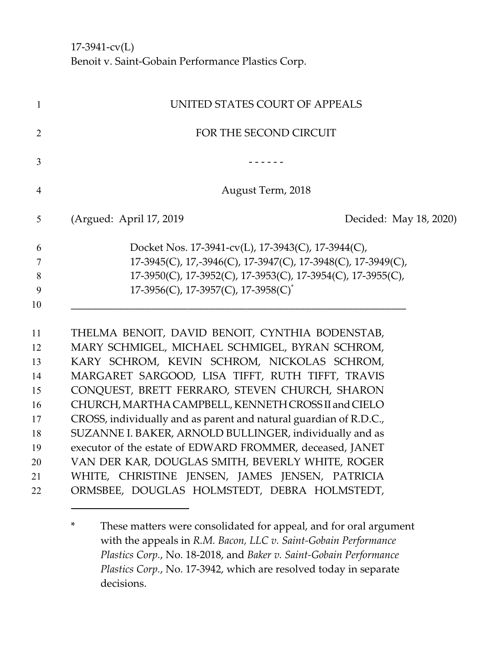17-3941-cv(L) Benoit v. Saint-Gobain Performance Plastics Corp.

| UNITED STATES COURT OF APPEALS                                                                                                                                                                       |
|------------------------------------------------------------------------------------------------------------------------------------------------------------------------------------------------------|
| FOR THE SECOND CIRCUIT                                                                                                                                                                               |
|                                                                                                                                                                                                      |
| August Term, 2018                                                                                                                                                                                    |
| (Argued: April 17, 2019)<br>Decided: May 18, 2020)                                                                                                                                                   |
| Docket Nos. 17-3941-cv(L), 17-3943(C), 17-3944(C),                                                                                                                                                   |
| 17-3945(C), 17,-3946(C), 17-3947(C), 17-3948(C), 17-3949(C),                                                                                                                                         |
| 17-3950(C), 17-3952(C), 17-3953(C), 17-3954(C), 17-3955(C),                                                                                                                                          |
| 17-3956(C), 17-3957(C), 17-3958(C) <sup>*</sup>                                                                                                                                                      |
| THELMA BENOIT, DAVID BENOIT, CYNTHIA BODENSTAB,<br>MARY SCHMIGEL, MICHAEL SCHMIGEL, BYRAN SCHROM,<br>KARY SCHROM, KEVIN SCHROM, NICKOLAS SCHROM,<br>MARGARET SARGOOD, LISA TIFFT, RUTH TIFFT, TRAVIS |
|                                                                                                                                                                                                      |
| CONQUEST, BRETT FERRARO, STEVEN CHURCH, SHARON                                                                                                                                                       |
| CHURCH, MARTHA CAMPBELL, KENNETH CROSS II and CIELO                                                                                                                                                  |
| CROSS, individually and as parent and natural guardian of R.D.C.,                                                                                                                                    |
| SUZANNE I. BAKER, ARNOLD BULLINGER, individually and as                                                                                                                                              |
| executor of the estate of EDWARD FROMMER, deceased, JANET                                                                                                                                            |
| VAN DER KAR, DOUGLAS SMITH, BEVERLY WHITE, ROGER                                                                                                                                                     |
| WHITE, CHRISTINE JENSEN, JAMES JENSEN, PATRICIA<br>ORMSBEE, DOUGLAS HOLMSTEDT, DEBRA HOLMSTEDT,                                                                                                      |

<sup>\*</sup> These matters were consolidated for appeal, and for oral argument with the appeals in *R.M. Bacon, LLC v. Saint-Gobain Performance Plastics Corp.*, No. 18-2018, and *Baker v. Saint-Gobain Performance Plastics Corp.*, No. 17-3942, which are resolved today in separate decisions.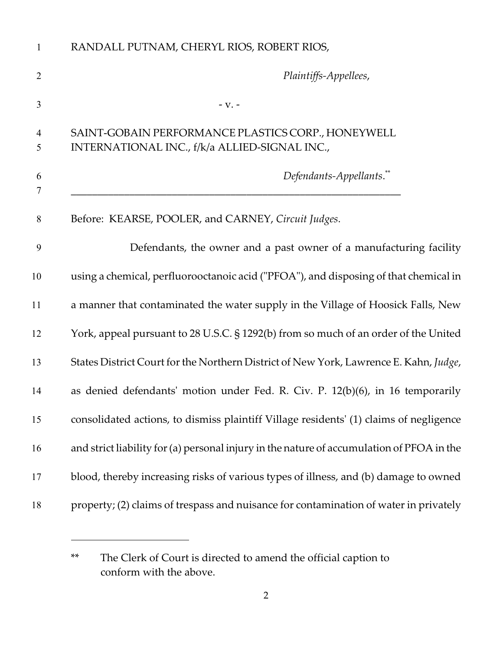| RANDALL PUTNAM, CHERYL RIOS, ROBERT RIOS,                                                           |
|-----------------------------------------------------------------------------------------------------|
| Plaintiffs-Appellees,                                                                               |
| $-V. -$                                                                                             |
| SAINT-GOBAIN PERFORMANCE PLASTICS CORP., HONEYWELL<br>INTERNATIONAL INC., f/k/a ALLIED-SIGNAL INC., |
| Defendants-Appellants.**                                                                            |
| Before: KEARSE, POOLER, and CARNEY, Circuit Judges.                                                 |
| Defendants, the owner and a past owner of a manufacturing facility                                  |
| using a chemical, perfluorooctanoic acid ("PFOA"), and disposing of that chemical in                |
| a manner that contaminated the water supply in the Village of Hoosick Falls, New                    |
| York, appeal pursuant to 28 U.S.C. § 1292(b) from so much of an order of the United                 |
| States District Court for the Northern District of New York, Lawrence E. Kahn, Judge,               |
| as denied defendants' motion under Fed. R. Civ. P. 12(b)(6), in 16 temporarily                      |
| consolidated actions, to dismiss plaintiff Village residents' (1) claims of negligence              |
| and strict liability for (a) personal injury in the nature of accumulation of PFOA in the           |
| blood, thereby increasing risks of various types of illness, and (b) damage to owned                |
| property; (2) claims of trespass and nuisance for contamination of water in privately               |
|                                                                                                     |

<sup>\*\*</sup> The Clerk of Court is directed to amend the official caption to conform with the above.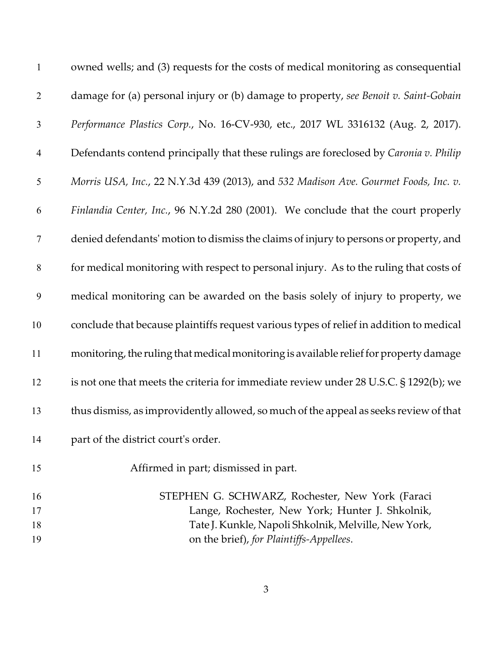| $\mathbf{1}$   | owned wells; and (3) requests for the costs of medical monitoring as consequential      |
|----------------|-----------------------------------------------------------------------------------------|
| $\overline{2}$ | damage for (a) personal injury or (b) damage to property, see Benoit v. Saint-Gobain    |
| 3              | Performance Plastics Corp., No. 16-CV-930, etc., 2017 WL 3316132 (Aug. 2, 2017).        |
| $\overline{4}$ | Defendants contend principally that these rulings are foreclosed by Caronia v. Philip   |
| 5              | Morris USA, Inc., 22 N.Y.3d 439 (2013), and 532 Madison Ave. Gourmet Foods, Inc. v.     |
| 6              | Finlandia Center, Inc., 96 N.Y.2d 280 (2001). We conclude that the court properly       |
| $\tau$         | denied defendants' motion to dismiss the claims of injury to persons or property, and   |
| 8              | for medical monitoring with respect to personal injury. As to the ruling that costs of  |
| 9              | medical monitoring can be awarded on the basis solely of injury to property, we         |
| 10             | conclude that because plaintiffs request various types of relief in addition to medical |
| 11             | monitoring, the ruling that medical monitoring is available relief for property damage  |
| 12             | is not one that meets the criteria for immediate review under 28 U.S.C. § 1292(b); we   |
| 13             | thus dismiss, as improvidently allowed, so much of the appeal as seeks review of that   |
| 14             | part of the district court's order.                                                     |
| 15             | Affirmed in part; dismissed in part.                                                    |
| 16             | STEPHEN G. SCHWARZ, Rochester, New York (Faraci                                         |
| 17             | Lange, Rochester, New York; Hunter J. Shkolnik,                                         |
| 18             | Tate J. Kunkle, Napoli Shkolnik, Melville, New York,                                    |
| 19             | on the brief), for Plaintiffs-Appellees.                                                |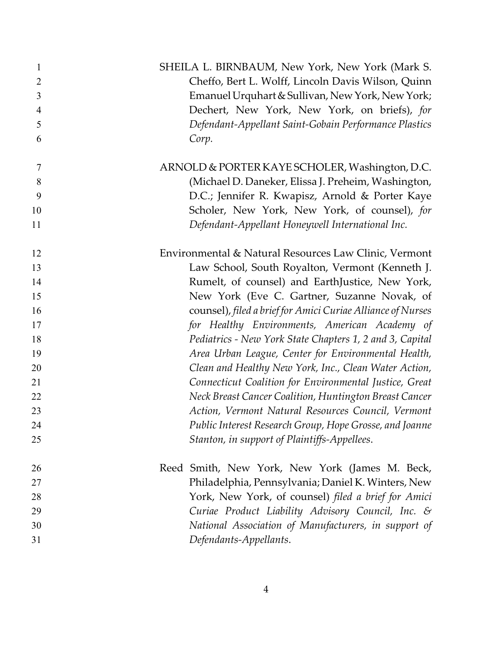| $\mathbf{1}$<br>$\overline{2}$<br>3<br>$\overline{4}$<br>5<br>6 | SHEILA L. BIRNBAUM, New York, New York (Mark S.<br>Cheffo, Bert L. Wolff, Lincoln Davis Wilson, Quinn<br>Emanuel Urquhart & Sullivan, New York, New York;<br>Dechert, New York, New York, on briefs), for<br>Defendant-Appellant Saint-Gobain Performance Plastics<br>Corp. |
|-----------------------------------------------------------------|-----------------------------------------------------------------------------------------------------------------------------------------------------------------------------------------------------------------------------------------------------------------------------|
| $\tau$                                                          | ARNOLD & PORTER KAYE SCHOLER, Washington, D.C.                                                                                                                                                                                                                              |
| 8                                                               | (Michael D. Daneker, Elissa J. Preheim, Washington,                                                                                                                                                                                                                         |
| 9                                                               | D.C.; Jennifer R. Kwapisz, Arnold & Porter Kaye                                                                                                                                                                                                                             |
| 10                                                              | Scholer, New York, New York, of counsel), for                                                                                                                                                                                                                               |
| 11                                                              | Defendant-Appellant Honeywell International Inc.                                                                                                                                                                                                                            |
| 12                                                              | Environmental & Natural Resources Law Clinic, Vermont                                                                                                                                                                                                                       |
| 13                                                              | Law School, South Royalton, Vermont (Kenneth J.                                                                                                                                                                                                                             |
| 14                                                              | Rumelt, of counsel) and EarthJustice, New York,                                                                                                                                                                                                                             |
| 15                                                              | New York (Eve C. Gartner, Suzanne Novak, of                                                                                                                                                                                                                                 |
| 16                                                              | counsel), filed a brief for Amici Curiae Alliance of Nurses                                                                                                                                                                                                                 |
| 17                                                              | for Healthy Environments, American Academy of                                                                                                                                                                                                                               |
| 18                                                              | Pediatrics - New York State Chapters 1, 2 and 3, Capital                                                                                                                                                                                                                    |
| 19                                                              | Area Urban League, Center for Environmental Health,                                                                                                                                                                                                                         |
| 20                                                              | Clean and Healthy New York, Inc., Clean Water Action,                                                                                                                                                                                                                       |
| 21                                                              | Connecticut Coalition for Environmental Justice, Great                                                                                                                                                                                                                      |
| 22                                                              | Neck Breast Cancer Coalition, Huntington Breast Cancer                                                                                                                                                                                                                      |
| 23                                                              | Action, Vermont Natural Resources Council, Vermont                                                                                                                                                                                                                          |
| 24                                                              | Public Interest Research Group, Hope Grosse, and Joanne                                                                                                                                                                                                                     |
| 25                                                              | Stanton, in support of Plaintiffs-Appellees.                                                                                                                                                                                                                                |
| 26                                                              | Reed Smith, New York, New York (James M. Beck,                                                                                                                                                                                                                              |
| 27                                                              | Philadelphia, Pennsylvania; Daniel K. Winters, New                                                                                                                                                                                                                          |
| 28                                                              | York, New York, of counsel) filed a brief for Amici                                                                                                                                                                                                                         |
| 29                                                              | Curiae Product Liability Advisory Council, Inc. &                                                                                                                                                                                                                           |
| 30                                                              | National Association of Manufacturers, in support of                                                                                                                                                                                                                        |
| 31                                                              | Defendants-Appellants.                                                                                                                                                                                                                                                      |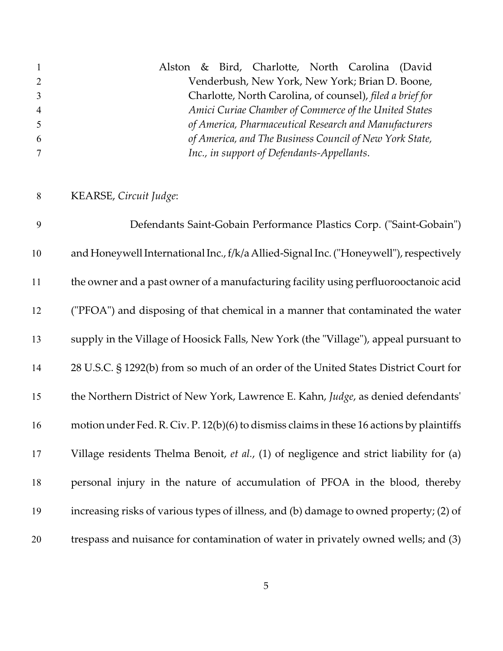| $\mathbf{1}$   | Alston & Bird, Charlotte, North Carolina (David           |
|----------------|-----------------------------------------------------------|
| $\overline{2}$ | Venderbush, New York, New York; Brian D. Boone,           |
| $\overline{3}$ | Charlotte, North Carolina, of counsel), filed a brief for |
| $\overline{4}$ | Amici Curiae Chamber of Commerce of the United States     |
| 5 <sup>5</sup> | of America, Pharmaceutical Research and Manufacturers     |
| 6              | of America, and The Business Council of New York State,   |
|                | Inc., in support of Defendants-Appellants.                |

KEARSE, *Circuit Judge*:

 Defendants Saint-Gobain Performance Plastics Corp. ("Saint-Gobain") and Honeywell InternationalInc., f/k/a Allied-Signal Inc. ("Honeywell"), respectively the owner and a past owner of a manufacturing facility using perfluorooctanoic acid ("PFOA") and disposing of that chemical in a manner that contaminated the water supply in the Village of Hoosick Falls, New York (the "Village"), appeal pursuant to 28 U.S.C. § 1292(b) from so much of an order of the United States District Court for the Northern District of New York, Lawrence E. Kahn, *Judge*, as denied defendants' motion under Fed. R. Civ. P. 12(b)(6) to dismiss claims in these 16 actions by plaintiffs Village residents Thelma Benoit, *et al.*, (1) of negligence and strict liability for (a) personal injury in the nature of accumulation of PFOA in the blood, thereby increasing risks of various types of illness, and (b) damage to owned property; (2) of trespass and nuisance for contamination of water in privately owned wells; and (3)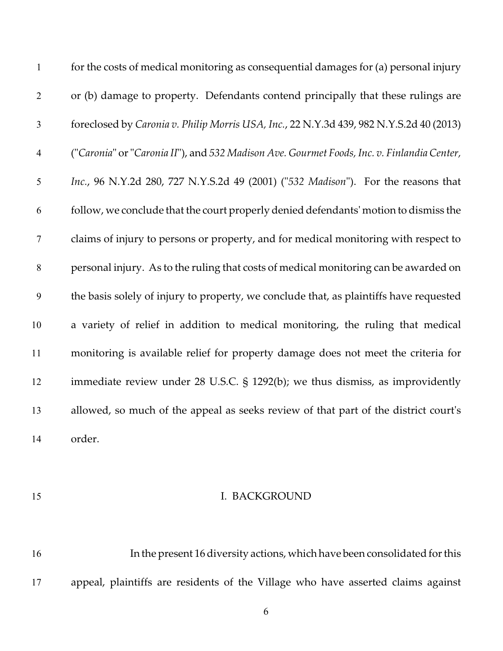| $\mathbf{1}$   | for the costs of medical monitoring as consequential damages for (a) personal injury       |
|----------------|--------------------------------------------------------------------------------------------|
| $\overline{2}$ | or (b) damage to property. Defendants contend principally that these rulings are           |
| $\mathfrak{Z}$ | foreclosed by Caronia v. Philip Morris USA, Inc., 22 N.Y.3d 439, 982 N.Y.S.2d 40 (2013)    |
| $\overline{4}$ | ("Caronia" or "Caronia II"), and 532 Madison Ave. Gourmet Foods, Inc. v. Finlandia Center, |
| 5              | Inc., 96 N.Y.2d 280, 727 N.Y.S.2d 49 (2001) ("532 Madison"). For the reasons that          |
| 6              | follow, we conclude that the court properly denied defendants' motion to dismiss the       |
| $\tau$         | claims of injury to persons or property, and for medical monitoring with respect to        |
| $\,8\,$        | personal injury. As to the ruling that costs of medical monitoring can be awarded on       |
| 9              | the basis solely of injury to property, we conclude that, as plaintiffs have requested     |
| 10             | a variety of relief in addition to medical monitoring, the ruling that medical             |
| 11             | monitoring is available relief for property damage does not meet the criteria for          |
| 12             | immediate review under 28 U.S.C. § 1292(b); we thus dismiss, as improvidently              |
| 13             | allowed, so much of the appeal as seeks review of that part of the district court's        |
| 14             | order.                                                                                     |

### 15 I. BACKGROUND

 In the present 16 diversity actions, which have been consolidated for this appeal, plaintiffs are residents of the Village who have asserted claims against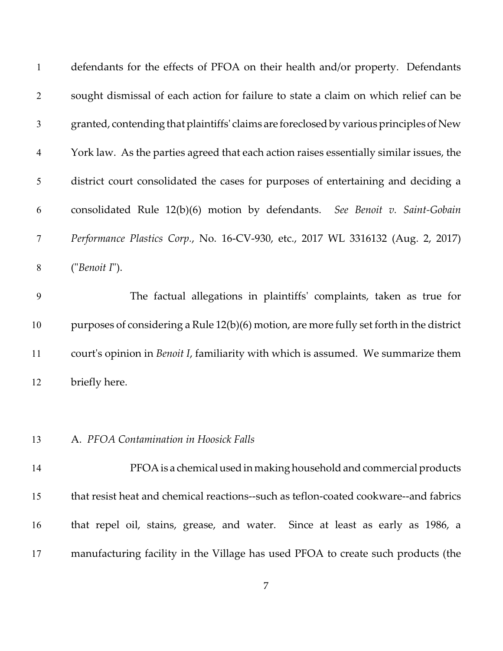| $\mathbf{1}$   | defendants for the effects of PFOA on their health and/or property. Defendants            |
|----------------|-------------------------------------------------------------------------------------------|
| $\overline{2}$ | sought dismissal of each action for failure to state a claim on which relief can be       |
| 3              | granted, contending that plaintiffs' claims are foreclosed by various principles of New   |
| $\overline{4}$ | York law. As the parties agreed that each action raises essentially similar issues, the   |
| 5              | district court consolidated the cases for purposes of entertaining and deciding a         |
| 6              | consolidated Rule 12(b)(6) motion by defendants. See Benoit v. Saint-Gobain               |
| $\tau$         | Performance Plastics Corp., No. 16-CV-930, etc., 2017 WL 3316132 (Aug. 2, 2017)           |
| 8              | ("Benoit I").                                                                             |
| 9              | The factual allegations in plaintiffs' complaints, taken as true for                      |
| 10             | purposes of considering a Rule 12(b)(6) motion, are more fully set forth in the district  |
| 11             | court's opinion in <i>Benoit I</i> , familiarity with which is assumed. We summarize them |
| 12             | briefly here.                                                                             |
|                |                                                                                           |
| 13             | A. PFOA Contamination in Hoosick Falls                                                    |
| 14             | PFOA is a chemical used in making household and commercial products                       |
| 15             | that resist heat and chemical reactions--such as teflon-coated cookware--and fabrics      |
| 16             | that repel oil, stains, grease, and water. Since at least as early as 1986, a             |
| 17             | manufacturing facility in the Village has used PFOA to create such products (the          |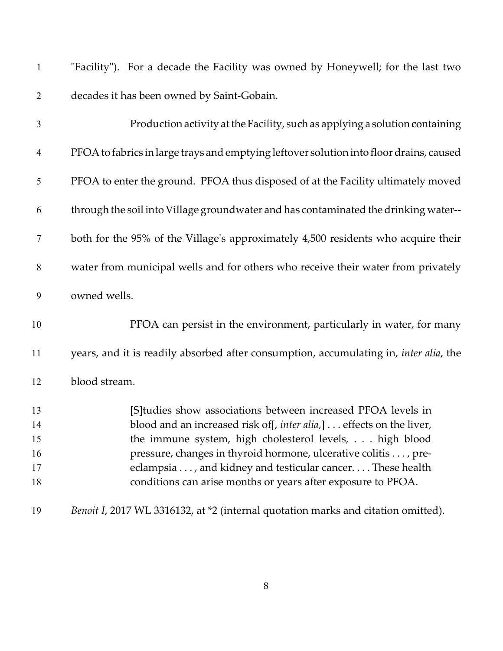| $\mathbf{1}$   | "Facility"). For a decade the Facility was owned by Honeywell; for the last two         |
|----------------|-----------------------------------------------------------------------------------------|
| $\overline{2}$ | decades it has been owned by Saint-Gobain.                                              |
| $\mathfrak{Z}$ | Production activity at the Facility, such as applying a solution containing             |
| $\overline{4}$ | PFOA to fabrics in large trays and emptying leftover solution into floor drains, caused |
| 5              | PFOA to enter the ground. PFOA thus disposed of at the Facility ultimately moved        |
| 6              | through the soil into Village groundwater and has contaminated the drinking water--     |
| $\tau$         | both for the 95% of the Village's approximately 4,500 residents who acquire their       |
| $8\,$          | water from municipal wells and for others who receive their water from privately        |
| 9              | owned wells.                                                                            |
| 10             | PFOA can persist in the environment, particularly in water, for many                    |
| 11             | years, and it is readily absorbed after consumption, accumulating in, inter alia, the   |
| 12             | blood stream.                                                                           |
| 13             | [S] tudies show associations between increased PFOA levels in                           |
| 14             | blood and an increased risk of [, inter alia,] effects on the liver,                    |
| 15             | the immune system, high cholesterol levels, high blood                                  |
| 16             | pressure, changes in thyroid hormone, ulcerative colitis , pre-                         |
| 17             | eclampsia , and kidney and testicular cancer. These health                              |
| 18             | conditions can arise months or years after exposure to PFOA.                            |
| 19             | Benoit I, 2017 WL 3316132, at *2 (internal quotation marks and citation omitted).       |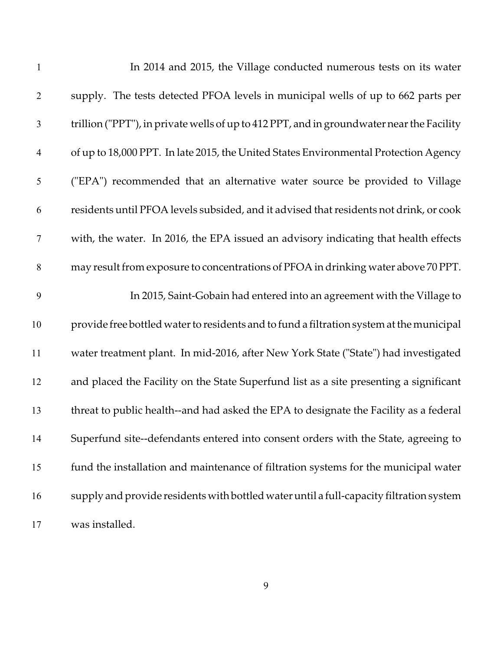| $\mathbf{1}$   | In 2014 and 2015, the Village conducted numerous tests on its water                       |
|----------------|-------------------------------------------------------------------------------------------|
| $\overline{2}$ | supply. The tests detected PFOA levels in municipal wells of up to 662 parts per          |
| $\mathfrak{Z}$ | trillion ("PPT"), in private wells of up to 412 PPT, and in groundwater near the Facility |
| $\overline{4}$ | of up to 18,000 PPT. In late 2015, the United States Environmental Protection Agency      |
| 5              | ("EPA") recommended that an alternative water source be provided to Village               |
| 6              | residents until PFOA levels subsided, and it advised that residents not drink, or cook    |
| 7              | with, the water. In 2016, the EPA issued an advisory indicating that health effects       |
| 8              | may result from exposure to concentrations of PFOA in drinking water above 70 PPT.        |
| 9              | In 2015, Saint-Gobain had entered into an agreement with the Village to                   |
| 10             | provide free bottled water to residents and to fund a filtration system at the municipal  |
| 11             | water treatment plant. In mid-2016, after New York State ("State") had investigated       |
| 12             | and placed the Facility on the State Superfund list as a site presenting a significant    |
| 13             | threat to public health--and had asked the EPA to designate the Facility as a federal     |
| 14             | Superfund site--defendants entered into consent orders with the State, agreeing to        |
| 15             | fund the installation and maintenance of filtration systems for the municipal water       |
| 16             | supply and provide residents with bottled water until a full-capacity filtration system   |
| 17             | was installed.                                                                            |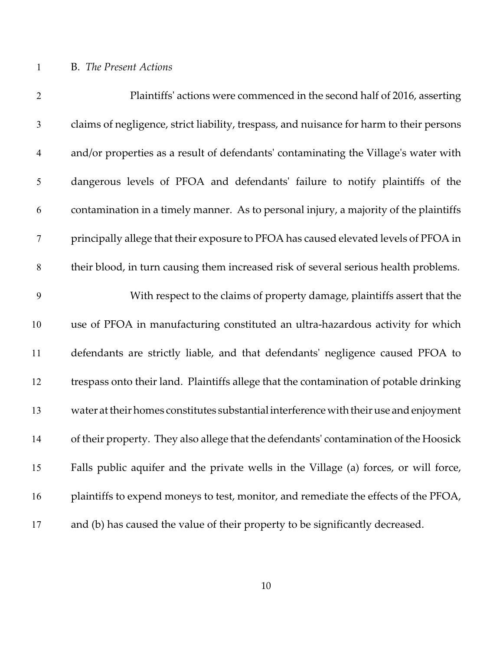## B. *The Present Actions*

| $\overline{2}$ | Plaintiffs' actions were commenced in the second half of 2016, asserting                 |
|----------------|------------------------------------------------------------------------------------------|
| $\mathfrak{Z}$ | claims of negligence, strict liability, trespass, and nuisance for harm to their persons |
| $\overline{4}$ | and/or properties as a result of defendants' contaminating the Village's water with      |
| $\mathfrak{S}$ | dangerous levels of PFOA and defendants' failure to notify plaintiffs of the             |
| 6              | contamination in a timely manner. As to personal injury, a majority of the plaintiffs    |
| $\tau$         | principally allege that their exposure to PFOA has caused elevated levels of PFOA in     |
| $8\,$          | their blood, in turn causing them increased risk of several serious health problems.     |
| 9              | With respect to the claims of property damage, plaintiffs assert that the                |
| 10             | use of PFOA in manufacturing constituted an ultra-hazardous activity for which           |
| 11             | defendants are strictly liable, and that defendants' negligence caused PFOA to           |
| 12             | trespass onto their land. Plaintiffs allege that the contamination of potable drinking   |
| 13             | water at their homes constitutes substantial interference with their use and enjoyment   |
| 14             | of their property. They also allege that the defendants' contamination of the Hoosick    |
| 15             | Falls public aquifer and the private wells in the Village (a) forces, or will force,     |
| 16             | plaintiffs to expend moneys to test, monitor, and remediate the effects of the PFOA,     |
| 17             | and (b) has caused the value of their property to be significantly decreased.            |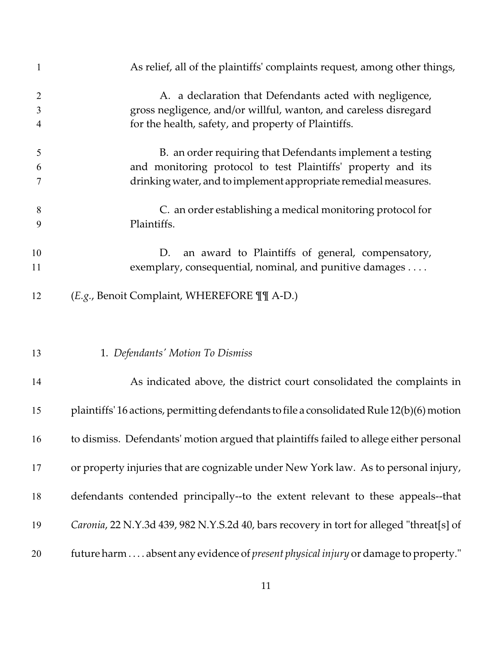| $\mathbf{1}$   | As relief, all of the plaintiffs' complaints request, among other things,                  |
|----------------|--------------------------------------------------------------------------------------------|
| $\overline{2}$ | A. a declaration that Defendants acted with negligence,                                    |
| 3              | gross negligence, and/or willful, wanton, and careless disregard                           |
| 4              | for the health, safety, and property of Plaintiffs.                                        |
|                |                                                                                            |
| 5              | B. an order requiring that Defendants implement a testing                                  |
| 6              | and monitoring protocol to test Plaintiffs' property and its                               |
| 7              | drinking water, and to implement appropriate remedial measures.                            |
|                |                                                                                            |
| 8              | C. an order establishing a medical monitoring protocol for                                 |
| 9              | Plaintiffs.                                                                                |
|                |                                                                                            |
| 10             | an award to Plaintiffs of general, compensatory,<br>D.                                     |
| 11             | exemplary, consequential, nominal, and punitive damages                                    |
|                |                                                                                            |
| 12             | (E.g., Benoit Complaint, WHEREFORE II A-D.)                                                |
|                |                                                                                            |
| 13             | 1. Defendants' Motion To Dismiss                                                           |
| 14             | As indicated above, the district court consolidated the complaints in                      |
| 15             | plaintiffs' 16 actions, permitting defendants to file a consolidated Rule 12(b)(6) motion  |
|                |                                                                                            |
| 16             | to dismiss. Defendants' motion argued that plaintiffs failed to allege either personal     |
|                |                                                                                            |
| 17             | or property injuries that are cognizable under New York law. As to personal injury,        |
|                |                                                                                            |
| 18             | defendants contended principally--to the extent relevant to these appeals--that            |
|                |                                                                                            |
| 19             | Caronia, 22 N.Y.3d 439, 982 N.Y.S.2d 40, bars recovery in tort for alleged "threat[s] of   |
|                |                                                                                            |
|                |                                                                                            |
| 20             | future harm  absent any evidence of <i>present physical injury</i> or damage to property." |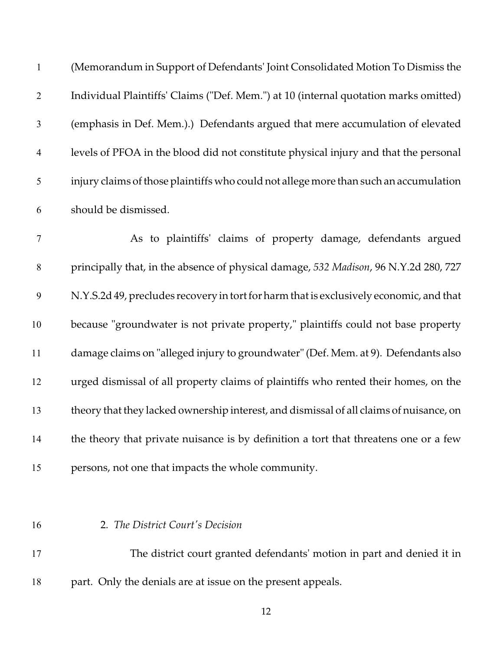| $\mathbf{1}$     | (Memorandum in Support of Defendants' Joint Consolidated Motion To Dismiss the          |
|------------------|-----------------------------------------------------------------------------------------|
| $\overline{2}$   | Individual Plaintiffs' Claims ("Def. Mem.") at 10 (internal quotation marks omitted)    |
| $\mathfrak{Z}$   | (emphasis in Def. Mem.).) Defendants argued that mere accumulation of elevated          |
| $\overline{4}$   | levels of PFOA in the blood did not constitute physical injury and that the personal    |
| $\mathfrak{S}$   | injury claims of those plaintiffs who could not allege more than such an accumulation   |
| 6                | should be dismissed.                                                                    |
| $\tau$           | As to plaintiffs' claims of property damage, defendants argued                          |
| $8\,$            | principally that, in the absence of physical damage, 532 Madison, 96 N.Y.2d 280, 727    |
| $\boldsymbol{9}$ | N.Y.S.2d 49, precludes recovery in tort for harm that is exclusively economic, and that |
| 10               | because "groundwater is not private property," plaintiffs could not base property       |
| 11               | damage claims on "alleged injury to groundwater" (Def. Mem. at 9). Defendants also      |
| 12               | urged dismissal of all property claims of plaintiffs who rented their homes, on the     |
| 13               | theory that they lacked ownership interest, and dismissal of all claims of nuisance, on |
| 14               | the theory that private nuisance is by definition a tort that threatens one or a few    |
| 15               | persons, not one that impacts the whole community.                                      |
|                  |                                                                                         |
| 16               | 2. The District Court's Decision                                                        |
| 17               | The district court granted defendants' motion in part and denied it in                  |

part. Only the denials are at issue on the present appeals.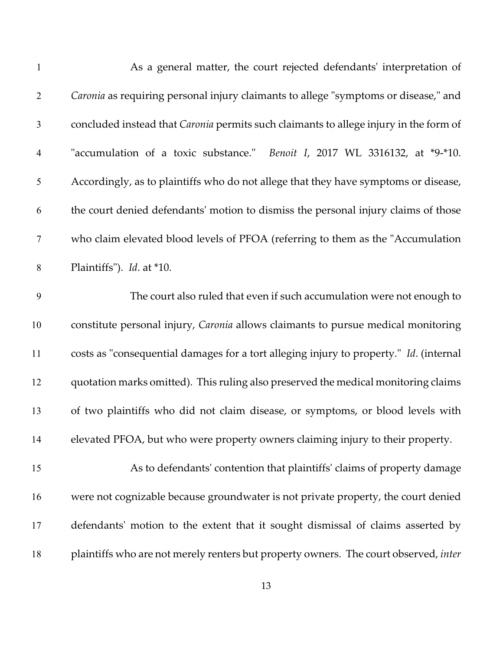| $\mathbf{1}$             | As a general matter, the court rejected defendants' interpretation of                        |
|--------------------------|----------------------------------------------------------------------------------------------|
| $\overline{2}$           | Caronia as requiring personal injury claimants to allege "symptoms or disease," and          |
| $\mathfrak{Z}$           | concluded instead that <i>Caronia</i> permits such claimants to allege injury in the form of |
| $\overline{\mathcal{A}}$ | "accumulation of a toxic substance." Benoit I, 2017 WL 3316132, at *9-*10.                   |
| 5                        | Accordingly, as to plaintiffs who do not allege that they have symptoms or disease,          |
| 6                        | the court denied defendants' motion to dismiss the personal injury claims of those           |
| $\tau$                   | who claim elevated blood levels of PFOA (referring to them as the "Accumulation              |
| $8\,$                    | Plaintiffs"). <i>Id.</i> at *10.                                                             |
| 9                        | The court also ruled that even if such accumulation were not enough to                       |
| 10                       | constitute personal injury, Caronia allows claimants to pursue medical monitoring            |
| 11                       | costs as "consequential damages for a tort alleging injury to property." Id. (internal       |
| 12                       | quotation marks omitted). This ruling also preserved the medical monitoring claims           |
| 13                       | of two plaintiffs who did not claim disease, or symptoms, or blood levels with               |
| 14                       | elevated PFOA, but who were property owners claiming injury to their property.               |
| 15                       | As to defendants' contention that plaintiffs' claims of property damage                      |
| 16                       | were not cognizable because groundwater is not private property, the court denied            |
| 17                       | defendants' motion to the extent that it sought dismissal of claims asserted by              |
| 18                       | plaintiffs who are not merely renters but property owners. The court observed, inter         |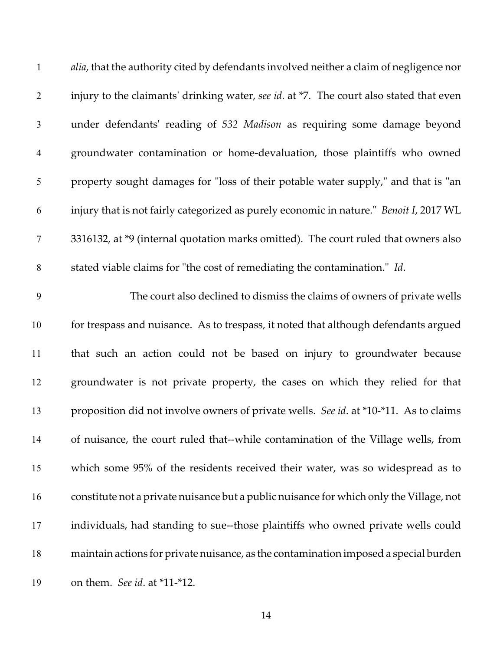| $\mathbf{1}$   | alia, that the authority cited by defendants involved neither a claim of negligence nor |
|----------------|-----------------------------------------------------------------------------------------|
| $\overline{2}$ | injury to the claimants' drinking water, see id. at *7. The court also stated that even |
| $\mathfrak{Z}$ | under defendants' reading of 532 Madison as requiring some damage beyond                |
| $\overline{4}$ | groundwater contamination or home-devaluation, those plaintiffs who owned               |
| $\mathfrak s$  | property sought damages for "loss of their potable water supply," and that is "an       |
| 6              | injury that is not fairly categorized as purely economic in nature." Benoit I, 2017 WL  |
| $\overline{7}$ | 3316132, at *9 (internal quotation marks omitted). The court ruled that owners also     |
| $8\,$          | stated viable claims for "the cost of remediating the contamination." Id.               |
| 9              | The court also declined to dismiss the claims of owners of private wells                |
| 10             | for trespass and nuisance. As to trespass, it noted that although defendants argued     |
| 11             | that such an action could not be based on injury to groundwater because                 |
| 12             | groundwater is not private property, the cases on which they relied for that            |
| 13             | proposition did not involve owners of private wells. See id. at *10-*11. As to claims   |
| 14             | of nuisance, the court ruled that--while contamination of the Village wells, from       |
| 15             | which some 95% of the residents received their water, was so widespread as to           |
| 16             | constitute not a private nuisance but a public nuisance for which only the Village, not |
| 17             | individuals, had standing to sue--those plaintiffs who owned private wells could        |
| 18             | maintain actions for private nuisance, as the contamination imposed a special burden    |
| 19             | on them. See id. at *11-*12.                                                            |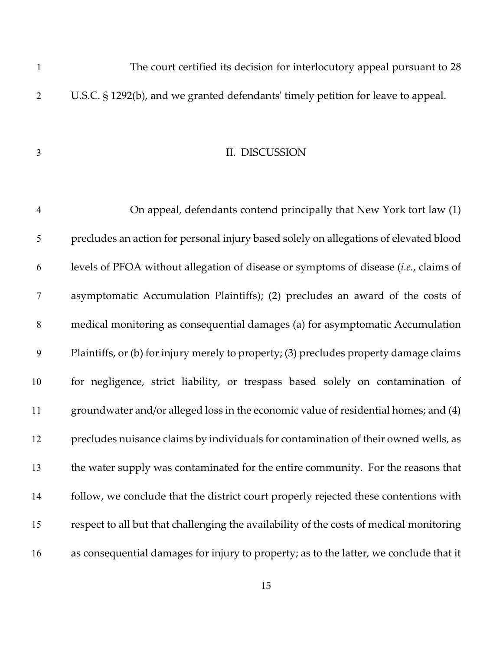The court certified its decision for interlocutory appeal pursuant to 28 U.S.C. § 1292(b), and we granted defendants' timely petition for leave to appeal.

#### II. DISCUSSION

 On appeal, defendants contend principally that New York tort law (1) precludes an action for personal injury based solely on allegations of elevated blood levels of PFOA without allegation of disease or symptoms of disease (*i.e.*, claims of asymptomatic Accumulation Plaintiffs); (2) precludes an award of the costs of medical monitoring as consequential damages (a) for asymptomatic Accumulation Plaintiffs, or (b) for injury merely to property; (3) precludes property damage claims for negligence, strict liability, or trespass based solely on contamination of groundwater and/or alleged loss in the economic value of residential homes; and (4) precludes nuisance claims by individuals for contamination of their owned wells, as the water supply was contaminated for the entire community. For the reasons that follow, we conclude that the district court properly rejected these contentions with respect to all but that challenging the availability of the costs of medical monitoring as consequential damages for injury to property; as to the latter, we conclude that it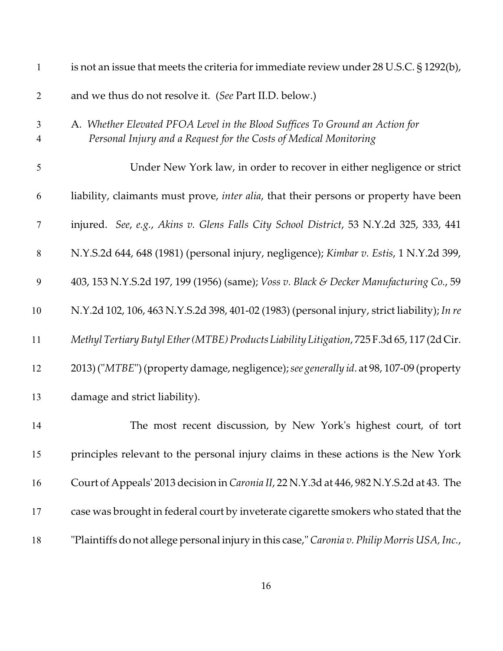| $\mathbf{1}$        | is not an issue that meets the criteria for immediate review under $28$ U.S.C. $\S$ 1292(b),                                                      |
|---------------------|---------------------------------------------------------------------------------------------------------------------------------------------------|
| $\mathbf{2}$        | and we thus do not resolve it. (See Part II.D. below.)                                                                                            |
| $\mathfrak{Z}$<br>4 | A. Whether Elevated PFOA Level in the Blood Suffices To Ground an Action for<br>Personal Injury and a Request for the Costs of Medical Monitoring |
| $\mathfrak s$       | Under New York law, in order to recover in either negligence or strict                                                                            |
| 6                   | liability, claimants must prove, inter alia, that their persons or property have been                                                             |
| $\tau$              | injured. See, e.g., Akins v. Glens Falls City School District, 53 N.Y.2d 325, 333, 441                                                            |
| $\,8\,$             | N.Y.S.2d 644, 648 (1981) (personal injury, negligence); Kimbar v. Estis, 1 N.Y.2d 399,                                                            |
| 9                   | 403, 153 N.Y.S.2d 197, 199 (1956) (same); Voss v. Black & Decker Manufacturing Co., 59                                                            |
| 10                  | N.Y.2d 102, 106, 463 N.Y.S.2d 398, 401-02 (1983) (personal injury, strict liability); In re                                                       |
| 11                  | Methyl Tertiary Butyl Ether (MTBE) Products Liability Litigation, 725 F.3d 65, 117 (2d Cir.                                                       |
| 12                  | 2013) ("MTBE") (property damage, negligence); see generally id. at 98, 107-09 (property                                                           |
| 13                  | damage and strict liability).                                                                                                                     |
| 14                  | The most recent discussion, by New York's highest court, of tort                                                                                  |
| 15                  | principles relevant to the personal injury claims in these actions is the New York                                                                |
| 16                  | Court of Appeals' 2013 decision in Caronia II, 22 N.Y.3d at 446, 982 N.Y.S.2d at 43. The                                                          |
| 17                  | case was brought in federal court by inveterate cigarette smokers who stated that the                                                             |
| 18                  | "Plaintiffs do not allege personal injury in this case," Caronia v. Philip Morris USA, Inc.,                                                      |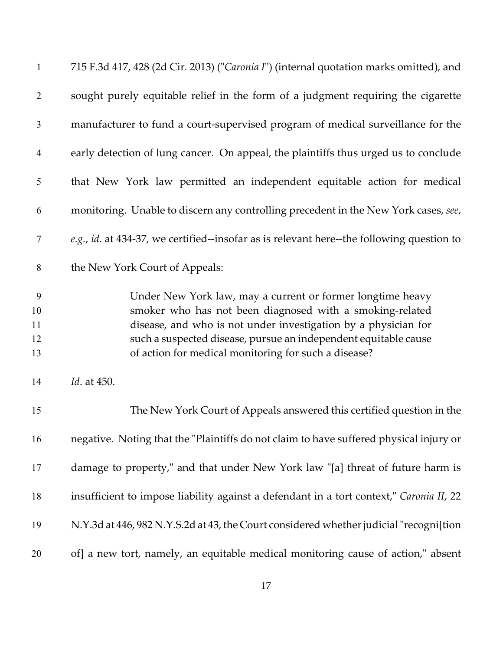| $\mathbf{1}$              | 715 F.3d 417, 428 (2d Cir. 2013) ("Caronia I") (internal quotation marks omitted), and                                                                                                                                                                                                                              |
|---------------------------|---------------------------------------------------------------------------------------------------------------------------------------------------------------------------------------------------------------------------------------------------------------------------------------------------------------------|
| $\overline{2}$            | sought purely equitable relief in the form of a judgment requiring the cigarette                                                                                                                                                                                                                                    |
| $\mathfrak{Z}$            | manufacturer to fund a court-supervised program of medical surveillance for the                                                                                                                                                                                                                                     |
| $\overline{4}$            | early detection of lung cancer. On appeal, the plaintiffs thus urged us to conclude                                                                                                                                                                                                                                 |
| 5                         | that New York law permitted an independent equitable action for medical                                                                                                                                                                                                                                             |
| 6                         | monitoring. Unable to discern any controlling precedent in the New York cases, see,                                                                                                                                                                                                                                 |
| 7                         | e.g., id. at 434-37, we certified--insofar as is relevant here--the following question to                                                                                                                                                                                                                           |
| 8                         | the New York Court of Appeals:                                                                                                                                                                                                                                                                                      |
| 9<br>10<br>11<br>12<br>13 | Under New York law, may a current or former longtime heavy<br>smoker who has not been diagnosed with a smoking-related<br>disease, and who is not under investigation by a physician for<br>such a suspected disease, pursue an independent equitable cause<br>of action for medical monitoring for such a disease? |
| 14                        | Id. at 450.                                                                                                                                                                                                                                                                                                         |
| 15                        | The New York Court of Appeals answered this certified question in the                                                                                                                                                                                                                                               |
| 16                        | negative. Noting that the "Plaintiffs do not claim to have suffered physical injury or                                                                                                                                                                                                                              |
| 17                        | damage to property," and that under New York law "[a] threat of future harm is                                                                                                                                                                                                                                      |
| 18                        | insufficient to impose liability against a defendant in a tort context," Caronia II, 22                                                                                                                                                                                                                             |
| 19                        | N.Y.3d at 446, 982 N.Y.S.2d at 43, the Court considered whether judicial "recogni[tion                                                                                                                                                                                                                              |
| 20                        | of] a new tort, namely, an equitable medical monitoring cause of action," absent                                                                                                                                                                                                                                    |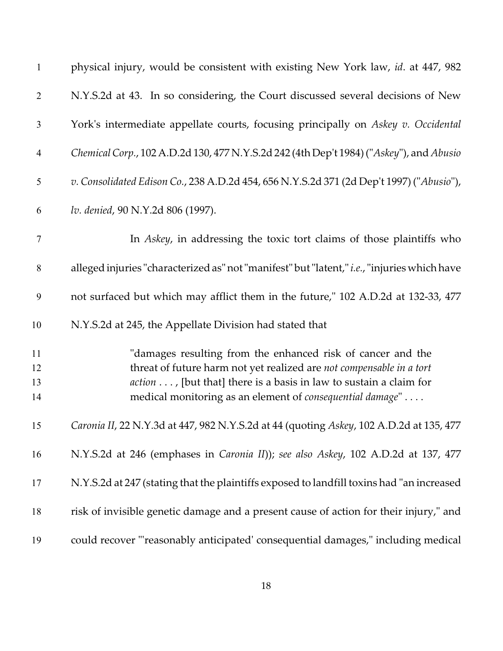| $\mathbf{1}$     | physical injury, would be consistent with existing New York law, id. at 447, 982                                                    |
|------------------|-------------------------------------------------------------------------------------------------------------------------------------|
| $\mathbf{2}$     | N.Y.S.2d at 43. In so considering, the Court discussed several decisions of New                                                     |
| 3                | York's intermediate appellate courts, focusing principally on Askey v. Occidental                                                   |
| $\overline{4}$   | Chemical Corp., 102 A.D.2d 130, 477 N.Y.S.2d 242 (4th Dep't 1984) ("Askey"), and Abusio                                             |
| $\mathfrak{S}$   | v. Consolidated Edison Co., 238 A.D.2d 454, 656 N.Y.S.2d 371 (2d Dep't 1997) ("Abusio"),                                            |
| 6                | lv. denied, 90 N.Y.2d 806 (1997).                                                                                                   |
| $\boldsymbol{7}$ | In Askey, in addressing the toxic tort claims of those plaintiffs who                                                               |
| $8\,$            | alleged injuries "characterized as" not "manifest" but "latent," i.e., "injuries which have                                         |
| $\boldsymbol{9}$ | not surfaced but which may afflict them in the future," 102 A.D.2d at 132-33, 477                                                   |
| 10               | N.Y.S.2d at 245, the Appellate Division had stated that                                                                             |
| 11<br>12         | "damages resulting from the enhanced risk of cancer and the<br>threat of future harm not yet realized are not compensable in a tort |
| 13               | $action \dots$ , [but that] there is a basis in law to sustain a claim for                                                          |
| 14               | medical monitoring as an element of consequential damage"                                                                           |
| 15               | Caronia II, 22 N.Y.3d at 447, 982 N.Y.S.2d at 44 (quoting Askey, 102 A.D.2d at 135, 477                                             |
| 16               | N.Y.S.2d at 246 (emphases in Caronia II)); see also Askey, 102 A.D.2d at 137, 477                                                   |
| 17               | N.Y.S.2d at 247 (stating that the plaintiffs exposed to landfill toxins had "an increased                                           |
| 18               | risk of invisible genetic damage and a present cause of action for their injury," and                                               |
| 19               | could recover "'reasonably anticipated' consequential damages," including medical                                                   |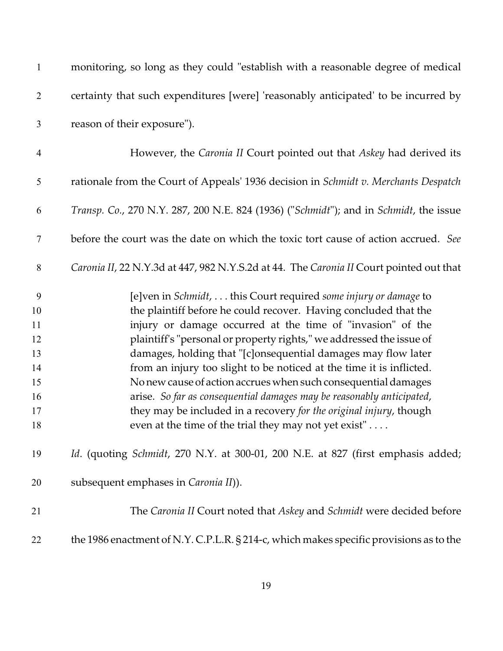| $\mathbf{1}$             | monitoring, so long as they could "establish with a reasonable degree of medical        |
|--------------------------|-----------------------------------------------------------------------------------------|
| $\mathbf{2}$             | certainty that such expenditures [were] 'reasonably anticipated' to be incurred by      |
| 3                        | reason of their exposure").                                                             |
| $\overline{\mathcal{A}}$ | However, the Caronia II Court pointed out that Askey had derived its                    |
| 5                        | rationale from the Court of Appeals' 1936 decision in Schmidt v. Merchants Despatch     |
| 6                        | Transp. Co., 270 N.Y. 287, 200 N.E. 824 (1936) ("Schmidt"); and in Schmidt, the issue   |
| 7                        | before the court was the date on which the toxic tort cause of action accrued. See      |
| $8\,$                    | Caronia II, 22 N.Y.3d at 447, 982 N.Y.S.2d at 44. The Caronia II Court pointed out that |
| 9                        | [e]ven in Schmidt,  this Court required some injury or damage to                        |
| 10                       | the plaintiff before he could recover. Having concluded that the                        |
| 11                       | injury or damage occurred at the time of "invasion" of the                              |
| 12                       | plaintiff's "personal or property rights," we addressed the issue of                    |
| 13                       | damages, holding that "[c]onsequential damages may flow later                           |
| 14                       | from an injury too slight to be noticed at the time it is inflicted.                    |
| 15                       | No new cause of action accrues when such consequential damages                          |
| 16                       | arise. So far as consequential damages may be reasonably anticipated,                   |
| 17                       | they may be included in a recovery for the original injury, though                      |
| 18                       | even at the time of the trial they may not yet exist"                                   |
| 19                       | Id. (quoting Schmidt, 270 N.Y. at 300-01, 200 N.E. at 827 (first emphasis added;        |
| 20                       | subsequent emphases in Caronia II).                                                     |
| 21                       | The Caronia II Court noted that Askey and Schmidt were decided before                   |
| 22                       | the 1986 enactment of N.Y. C.P.L.R. § 214-c, which makes specific provisions as to the  |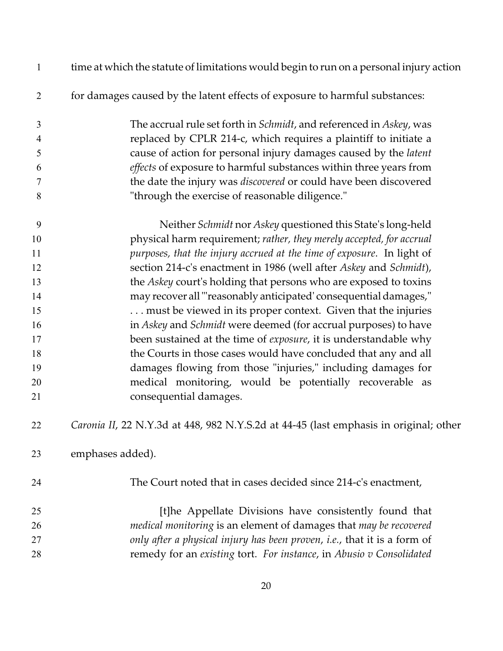| $\mathbf{1}$   | time at which the statute of limitations would begin to run on a personal injury action |
|----------------|-----------------------------------------------------------------------------------------|
| $\overline{2}$ | for damages caused by the latent effects of exposure to harmful substances:             |
| 3              | The accrual rule set forth in <i>Schmidt</i> , and referenced in <i>Askey</i> , was     |
| $\overline{4}$ | replaced by CPLR 214-c, which requires a plaintiff to initiate a                        |
| 5              | cause of action for personal injury damages caused by the latent                        |
| 6              | effects of exposure to harmful substances within three years from                       |
| $\overline{7}$ | the date the injury was discovered or could have been discovered                        |
| 8              | "through the exercise of reasonable diligence."                                         |
| 9              | Neither Schmidt nor Askey questioned this State's long-held                             |
| 10             | physical harm requirement; rather, they merely accepted, for accrual                    |
| 11             | purposes, that the injury accrued at the time of exposure. In light of                  |
| 12             | section 214-c's enactment in 1986 (well after Askey and Schmidt),                       |
| 13             | the Askey court's holding that persons who are exposed to toxins                        |
| 14             | may recover all "reasonably anticipated' consequential damages,"                        |
| 15             | must be viewed in its proper context. Given that the injuries                           |
| 16             | in Askey and Schmidt were deemed (for accrual purposes) to have                         |
| 17             | been sustained at the time of exposure, it is understandable why                        |
| 18             | the Courts in those cases would have concluded that any and all                         |
| 19             | damages flowing from those "injuries," including damages for                            |
| 20             | medical monitoring, would be potentially recoverable as                                 |
| 21             | consequential damages.                                                                  |
| 22             | Caronia II, 22 N.Y.3d at 448, 982 N.Y.S.2d at 44-45 (last emphasis in original; other   |
| 23             | emphases added).                                                                        |
| 24             | The Court noted that in cases decided since 214-c's enactment,                          |
| 25             | [t]he Appellate Divisions have consistently found that                                  |
| 26             | medical monitoring is an element of damages that may be recovered                       |
| 27             | only after a physical injury has been proven, i.e., that it is a form of                |
| 28             | remedy for an existing tort. For instance, in Abusio v Consolidated                     |
|                |                                                                                         |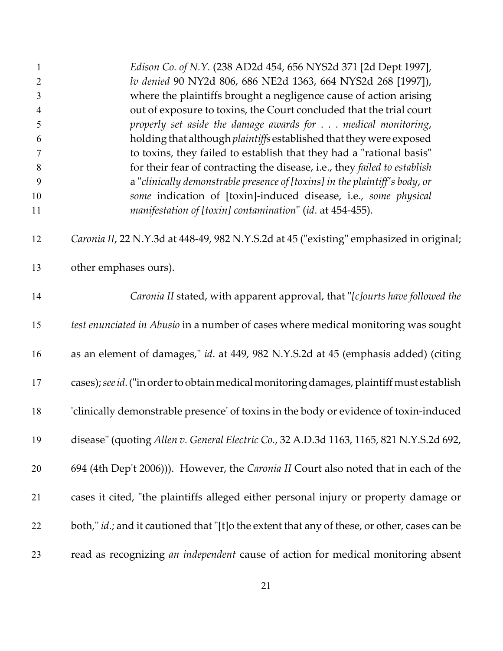| $\mathbf{1}$   | Edison Co. of N.Y. (238 AD2d 454, 656 NYS2d 371 [2d Dept 1997],                                      |
|----------------|------------------------------------------------------------------------------------------------------|
| $\overline{2}$ | lv denied 90 NY2d 806, 686 NE2d 1363, 664 NYS2d 268 [1997]),                                         |
| 3              | where the plaintiffs brought a negligence cause of action arising                                    |
| $\overline{4}$ | out of exposure to toxins, the Court concluded that the trial court                                  |
| 5              | properly set aside the damage awards for medical monitoring,                                         |
| 6              | holding that although plaintiffs established that they were exposed                                  |
| $\overline{7}$ | to toxins, they failed to establish that they had a "rational basis"                                 |
| $8\,$          | for their fear of contracting the disease, i.e., they failed to establish                            |
| 9              | a "clinically demonstrable presence of [toxins] in the plaintiff's body, or                          |
| 10             | some indication of [toxin]-induced disease, i.e., some physical                                      |
| 11             | manifestation of [toxin] contamination" (id. at 454-455).                                            |
| 12             | Caronia II, 22 N.Y.3d at 448-49, 982 N.Y.S.2d at 45 ("existing" emphasized in original;              |
| 13             | other emphases ours).                                                                                |
| 14             | Caronia II stated, with apparent approval, that "[c]ourts have followed the                          |
| 15             | test enunciated in Abusio in a number of cases where medical monitoring was sought                   |
| 16             | as an element of damages," id. at 449, 982 N.Y.S.2d at 45 (emphasis added) (citing                   |
| 17             | cases); see id. ("in order to obtain medical monitoring damages, plaintiff must establish            |
| 18             | 'clinically demonstrable presence' of toxins in the body or evidence of toxin-induced                |
| 19             | disease" (quoting Allen v. General Electric Co., 32 A.D.3d 1163, 1165, 821 N.Y.S.2d 692,             |
| 20             | 694 (4th Dep't 2006))). However, the Caronia II Court also noted that in each of the                 |
| 21             | cases it cited, "the plaintiffs alleged either personal injury or property damage or                 |
| 22             | both," <i>id.</i> ; and it cautioned that "[t]o the extent that any of these, or other, cases can be |
| 23             | read as recognizing an independent cause of action for medical monitoring absent                     |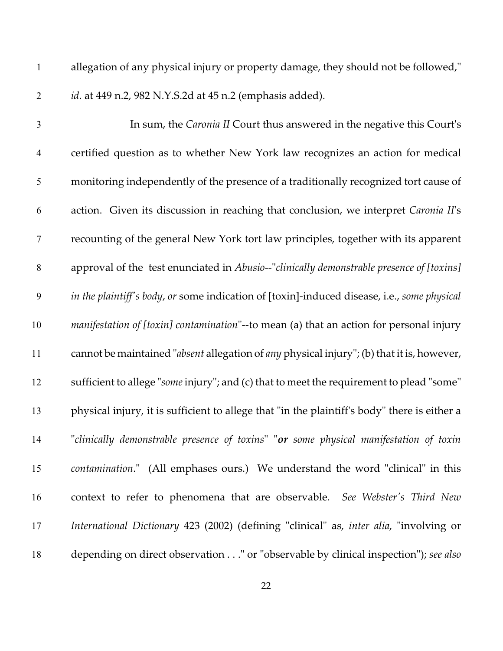allegation of any physical injury or property damage, they should not be followed," *id*. at 449 n.2, 982 N.Y.S.2d at 45 n.2 (emphasis added).

| $\mathfrak{Z}$ | In sum, the Caronia II Court thus answered in the negative this Court's                         |
|----------------|-------------------------------------------------------------------------------------------------|
| $\overline{4}$ | certified question as to whether New York law recognizes an action for medical                  |
| 5              | monitoring independently of the presence of a traditionally recognized tort cause of            |
| 6              | action. Given its discussion in reaching that conclusion, we interpret Caronia II's             |
| $\tau$         | recounting of the general New York tort law principles, together with its apparent              |
| $\,8\,$        | approval of the test enunciated in Abusio--"clinically demonstrable presence of [toxins]        |
| 9              | in the plaintiff's body, or some indication of [toxin]-induced disease, i.e., some physical     |
| 10             | <i>manifestation of [toxin] contamination</i> "--to mean (a) that an action for personal injury |
| 11             | cannot be maintained "absent allegation of any physical injury"; (b) that it is, however,       |
| 12             | sufficient to allege "some injury"; and (c) that to meet the requirement to plead "some"        |
| 13             | physical injury, it is sufficient to allege that "in the plaintiff's body" there is either a    |
| 14             | "clinically demonstrable presence of toxins" "or some physical manifestation of toxin           |
| 15             | contamination." (All emphases ours.) We understand the word "clinical" in this                  |
| 16             | context to refer to phenomena that are observable. See Webster's Third New                      |
| 17             | International Dictionary 423 (2002) (defining "clinical" as, inter alia, "involving or          |
| 18             | depending on direct observation" or "observable by clinical inspection"); see also              |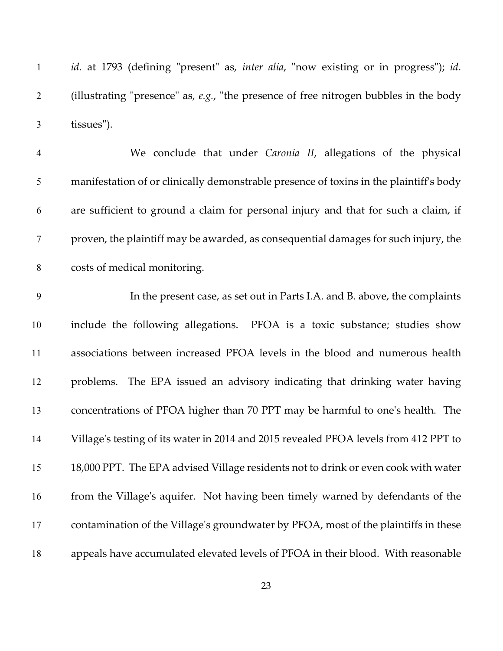*id*. at 1793 (defining "present" as, *inter alia*, "now existing or in progress"); *id*. (illustrating "presence" as, *e.g.*, "the presence of free nitrogen bubbles in the body tissues").

| $\overline{4}$ | We conclude that under Caronia II, allegations of the physical                         |
|----------------|----------------------------------------------------------------------------------------|
| 5              | manifestation of or clinically demonstrable presence of toxins in the plaintiff's body |
| 6              | are sufficient to ground a claim for personal injury and that for such a claim, if     |
|                | proven, the plaintiff may be awarded, as consequential damages for such injury, the    |
| 8              | costs of medical monitoring.                                                           |

 In the present case, as set out in Parts I.A. and B. above, the complaints include the following allegations. PFOA is a toxic substance; studies show associations between increased PFOA levels in the blood and numerous health problems. The EPA issued an advisory indicating that drinking water having concentrations of PFOA higher than 70 PPT may be harmful to one's health. The Village's testing of its water in 2014 and 2015 revealed PFOA levels from 412 PPT to 18,000 PPT. The EPA advised Village residents not to drink or even cook with water from the Village's aquifer. Not having been timely warned by defendants of the contamination of the Village's groundwater by PFOA, most of the plaintiffs in these appeals have accumulated elevated levels of PFOA in their blood. With reasonable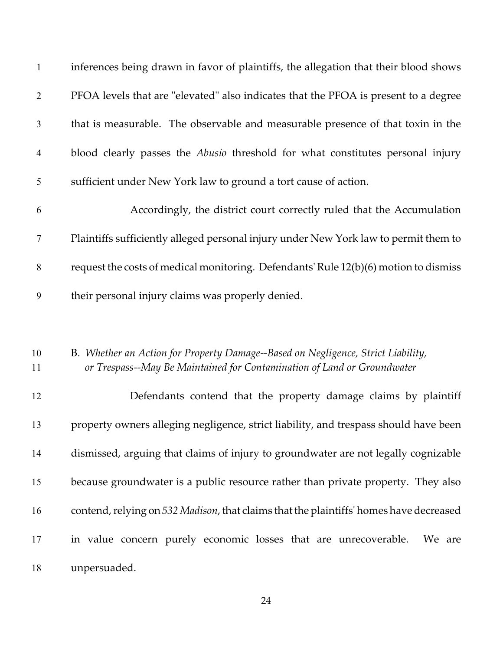| $\mathbf{1}$   | inferences being drawn in favor of plaintiffs, the allegation that their blood shows                                                                        |
|----------------|-------------------------------------------------------------------------------------------------------------------------------------------------------------|
| $\overline{2}$ | PFOA levels that are "elevated" also indicates that the PFOA is present to a degree                                                                         |
| $\mathfrak{Z}$ | that is measurable. The observable and measurable presence of that toxin in the                                                                             |
| $\overline{4}$ | blood clearly passes the <i>Abusio</i> threshold for what constitutes personal injury                                                                       |
| 5              | sufficient under New York law to ground a tort cause of action.                                                                                             |
| 6              | Accordingly, the district court correctly ruled that the Accumulation                                                                                       |
| $\tau$         | Plaintiffs sufficiently alleged personal injury under New York law to permit them to                                                                        |
| 8              | request the costs of medical monitoring. Defendants' Rule 12(b)(6) motion to dismiss                                                                        |
| 9              | their personal injury claims was properly denied.                                                                                                           |
|                |                                                                                                                                                             |
| 10<br>11       | B. Whether an Action for Property Damage--Based on Negligence, Strict Liability,<br>or Trespass--May Be Maintained for Contamination of Land or Groundwater |
| 12             | Defendants contend that the property damage claims by plaintiff                                                                                             |
| 13             | property owners alleging negligence, strict liability, and trespass should have been                                                                        |
| 14             | dismissed, arguing that claims of injury to groundwater are not legally cognizable                                                                          |
| 15             | because groundwater is a public resource rather than private property. They also                                                                            |
| 16             | contend, relying on 532 Madison, that claims that the plaintiffs' homes have decreased                                                                      |
| 17             | in value concern purely economic losses that are unrecoverable.<br>We are                                                                                   |
| 18             | unpersuaded.                                                                                                                                                |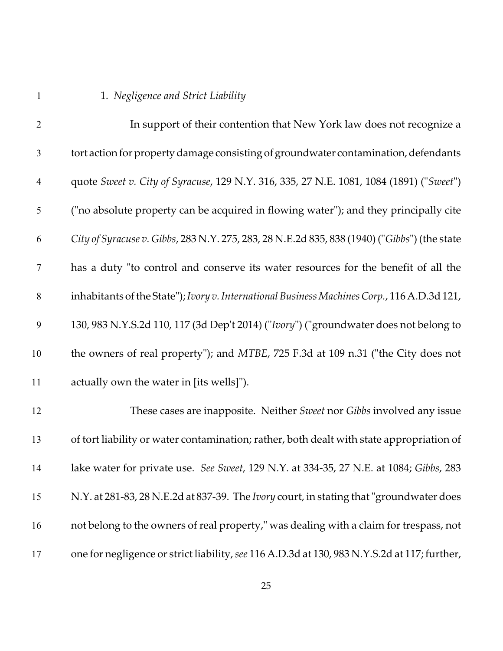# 1. *Negligence and Strict Liability*

| $\overline{2}$   | In support of their contention that New York law does not recognize a                          |
|------------------|------------------------------------------------------------------------------------------------|
| $\mathfrak{Z}$   | tort action for property damage consisting of groundwater contamination, defendants            |
| $\overline{4}$   | quote Sweet v. City of Syracuse, 129 N.Y. 316, 335, 27 N.E. 1081, 1084 (1891) ("Sweet")        |
| 5                | ("no absolute property can be acquired in flowing water"); and they principally cite           |
| 6                | City of Syracuse v. Gibbs, 283 N.Y. 275, 283, 28 N.E.2d 835, 838 (1940) ("Gibbs") (the state   |
| $\tau$           | has a duty "to control and conserve its water resources for the benefit of all the             |
| $\,8\,$          | inhabitants of the State"); Ivory v. International Business Machines Corp., 116 A.D.3d 121,    |
| $\boldsymbol{9}$ | 130, 983 N.Y.S.2d 110, 117 (3d Dep't 2014) ("Ivory") ("groundwater does not belong to          |
| 10               | the owners of real property"); and MTBE, 725 F.3d at 109 n.31 ("the City does not              |
| 11               | actually own the water in [its wells]").                                                       |
| 12               | These cases are inapposite. Neither Sweet nor Gibbs involved any issue                         |
| 13               | of tort liability or water contamination; rather, both dealt with state appropriation of       |
| 14               | lake water for private use. See Sweet, 129 N.Y. at 334-35, 27 N.E. at 1084; Gibbs, 283         |
| 15               | N.Y. at 281-83, 28 N.E.2d at 837-39. The <i>Ivory</i> court, in stating that "groundwater does |
| 16               | not belong to the owners of real property," was dealing with a claim for trespass, not         |
| 17               | one for negligence or strict liability, see 116 A.D.3d at 130, 983 N.Y.S.2d at 117; further,   |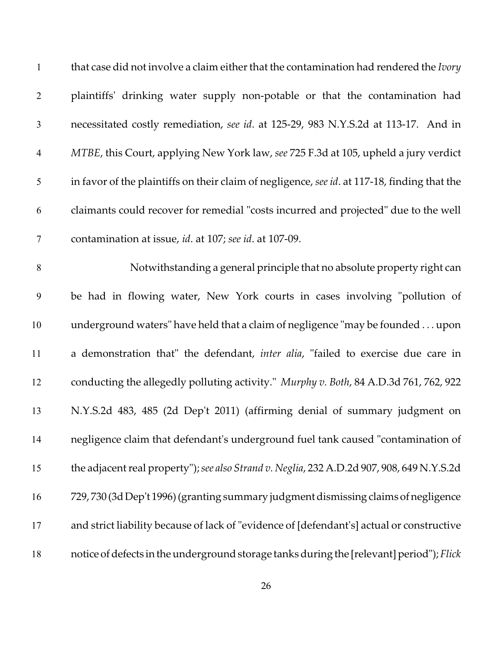| $\mathbf{1}$   | that case did not involve a claim either that the contamination had rendered the <i>lvory</i> |
|----------------|-----------------------------------------------------------------------------------------------|
| $\overline{2}$ | plaintiffs' drinking water supply non-potable or that the contamination had                   |
| $\mathfrak{Z}$ | necessitated costly remediation, see id. at 125-29, 983 N.Y.S.2d at 113-17. And in            |
| $\overline{4}$ | MTBE, this Court, applying New York law, see 725 F.3d at 105, upheld a jury verdict           |
| 5              | in favor of the plaintiffs on their claim of negligence, see id. at 117-18, finding that the  |
| 6              | claimants could recover for remedial "costs incurred and projected" due to the well           |
| $\overline{7}$ | contamination at issue, id. at 107; see id. at 107-09.                                        |
| $8\,$          | Notwithstanding a general principle that no absolute property right can                       |
| 9              | be had in flowing water, New York courts in cases involving "pollution of                     |
| 10             | underground waters" have held that a claim of negligence "may be founded upon                 |
| 11             | a demonstration that" the defendant, inter alia, "failed to exercise due care in              |
| 12             | conducting the allegedly polluting activity." Murphy v. Both, 84 A.D.3d 761, 762, 922         |
| 13             | N.Y.S.2d 483, 485 (2d Dep't 2011) (affirming denial of summary judgment on                    |
| 14             | negligence claim that defendant's underground fuel tank caused "contamination of              |
| 15             | the adjacent real property"); see also Strand v. Neglia, 232 A.D.2d 907, 908, 649 N.Y.S.2d    |
| 16             | 729, 730 (3d Dep't 1996) (granting summary judgment dismissing claims of negligence           |
| 17             | and strict liability because of lack of "evidence of [defendant's] actual or constructive     |
| 18             | notice of defects in the underground storage tanks during the [relevant] period"); Flick      |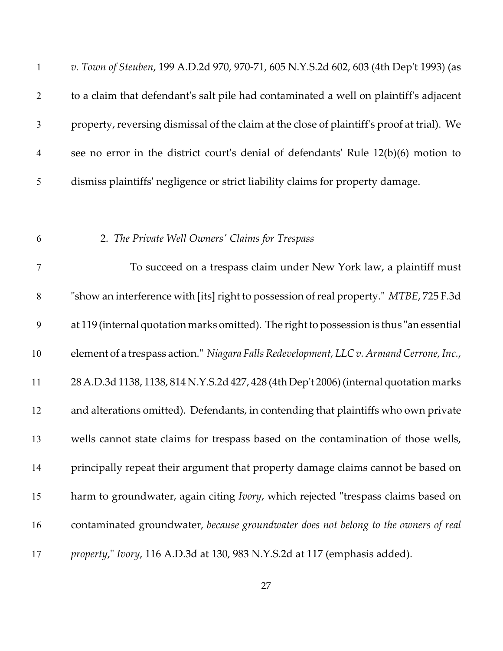| $\mathbf{1}$   | v. Town of Steuben, 199 A.D.2d 970, 970-71, 605 N.Y.S.2d 602, 603 (4th Dep't 1993) (as     |
|----------------|--------------------------------------------------------------------------------------------|
| $\overline{2}$ | to a claim that defendant's salt pile had contaminated a well on plaintiff's adjacent      |
| $\mathfrak{Z}$ | property, reversing dismissal of the claim at the close of plaintiff's proof at trial). We |
| $\overline{4}$ | see no error in the district court's denial of defendants' Rule 12(b)(6) motion to         |
| 5              | dismiss plaintiffs' negligence or strict liability claims for property damage.             |
|                |                                                                                            |
| 6              | 2. The Private Well Owners' Claims for Trespass                                            |
| $\overline{7}$ | To succeed on a trespass claim under New York law, a plaintiff must                        |
| 8              | "show an interference with [its] right to possession of real property." MTBE, 725 F.3d     |
| 9              | at 119 (internal quotation marks omitted). The right to possession is thus "an essential   |
| 10             | element of a trespass action." Niagara Falls Redevelopment, LLC v. Armand Cerrone, Inc.,   |
| 11             | 28 A.D.3d 1138, 1138, 814 N.Y.S.2d 427, 428 (4th Dep't 2006) (internal quotation marks     |
| 12             | and alterations omitted). Defendants, in contending that plaintiffs who own private        |
| 13             | wells cannot state claims for trespass based on the contamination of those wells,          |
| 14             | principally repeat their argument that property damage claims cannot be based on           |
| 15             | harm to groundwater, again citing <i>Ivory</i> , which rejected "trespass claims based on  |
| 16             | contaminated groundwater, because groundwater does not belong to the owners of real        |
| 17             | property," Ivory, 116 A.D.3d at 130, 983 N.Y.S.2d at 117 (emphasis added).                 |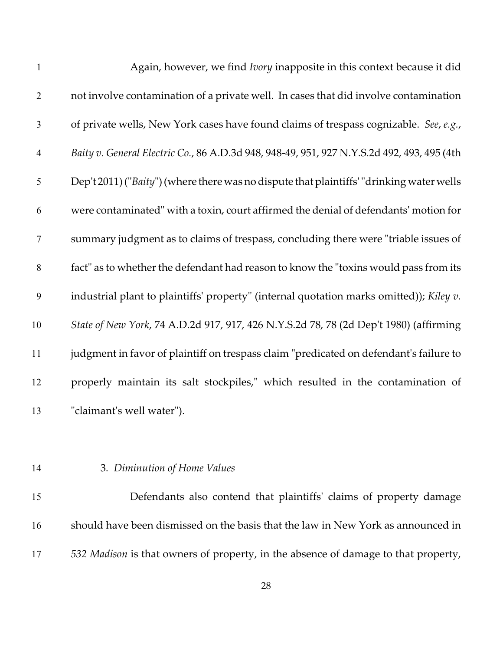| $\mathbf{1}$   | Again, however, we find <i>Ivory</i> inapposite in this context because it did             |
|----------------|--------------------------------------------------------------------------------------------|
| $\overline{2}$ | not involve contamination of a private well. In cases that did involve contamination       |
| $\mathfrak{Z}$ | of private wells, New York cases have found claims of trespass cognizable. See, e.g.,      |
| $\overline{4}$ | Baity v. General Electric Co., 86 A.D.3d 948, 948-49, 951, 927 N.Y.S.2d 492, 493, 495 (4th |
| 5              | Dep't 2011) ("Baity") (where there was no dispute that plaintiffs' "drinking water wells   |
| 6              | were contaminated" with a toxin, court affirmed the denial of defendants' motion for       |
| $\overline{7}$ | summary judgment as to claims of trespass, concluding there were "triable issues of        |
| $8\,$          | fact" as to whether the defendant had reason to know the "toxins would pass from its       |
| 9              | industrial plant to plaintiffs' property" (internal quotation marks omitted)); Kiley v.    |
| 10             | State of New York, 74 A.D.2d 917, 917, 426 N.Y.S.2d 78, 78 (2d Dep't 1980) (affirming      |
| 11             | judgment in favor of plaintiff on trespass claim "predicated on defendant's failure to     |
| 12             | properly maintain its salt stockpiles," which resulted in the contamination of             |
| 13             | "claimant's well water").                                                                  |

## 3. *Diminution of Home Values*

 Defendants also contend that plaintiffs' claims of property damage should have been dismissed on the basis that the law in New York as announced in *532 Madison* is that owners of property, in the absence of damage to that property,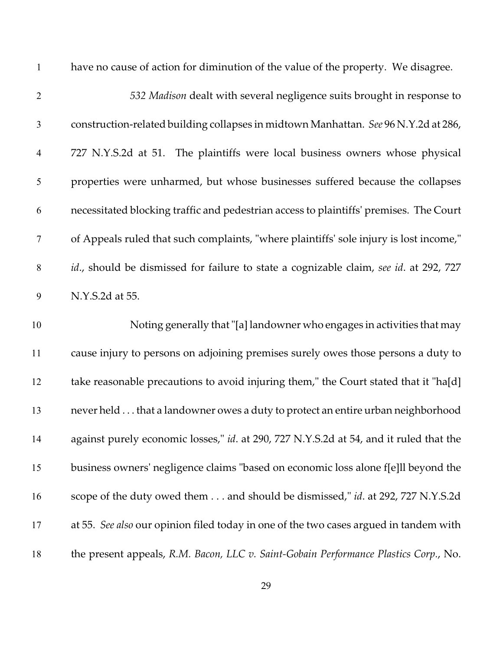| $\mathbf{1}$   | have no cause of action for diminution of the value of the property. We disagree.      |
|----------------|----------------------------------------------------------------------------------------|
| $\overline{2}$ | 532 Madison dealt with several negligence suits brought in response to                 |
| $\mathfrak{Z}$ | construction-related building collapses in midtown Manhattan. See 96 N.Y.2d at 286,    |
| $\overline{4}$ | 727 N.Y.S.2d at 51. The plaintiffs were local business owners whose physical           |
| 5              | properties were unharmed, but whose businesses suffered because the collapses          |
| 6              | necessitated blocking traffic and pedestrian access to plaintiffs' premises. The Court |
| $\tau$         | of Appeals ruled that such complaints, "where plaintiffs' sole injury is lost income," |
| $\,8\,$        | id., should be dismissed for failure to state a cognizable claim, see id. at 292, 727  |
| 9              | N.Y.S.2d at 55.                                                                        |
| 10             | Noting generally that "[a] landowner who engages in activities that may                |
| 11             | cause injury to persons on adjoining premises surely owes those persons a duty to      |
| 12             | take reasonable precautions to avoid injuring them," the Court stated that it "ha[d]   |
| 13             |                                                                                        |
|                | never held that a landowner owes a duty to protect an entire urban neighborhood        |
| 14             | against purely economic losses," id. at 290, 727 N.Y.S.2d at 54, and it ruled that the |
| 15             | business owners' negligence claims "based on economic loss alone f[e]ll beyond the     |
| 16             | scope of the duty owed them and should be dismissed," id. at 292, 727 N.Y.S.2d         |
| 17             | at 55. See also our opinion filed today in one of the two cases argued in tandem with  |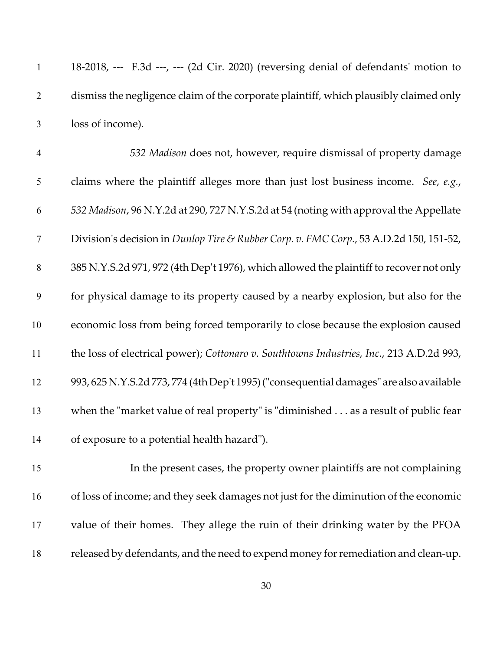|                | $18-2018$ , --- F.3d ---, --- (2d Cir. 2020) (reversing denial of defendants' motion to |
|----------------|-----------------------------------------------------------------------------------------|
|                | dismiss the negligence claim of the corporate plaintiff, which plausibly claimed only   |
| 3 <sup>7</sup> | loss of income).                                                                        |

 *532 Madison* does not, however, require dismissal of property damage claims where the plaintiff alleges more than just lost business income. *See*, *e.g.*, *532 Madison*, 96 N.Y.2d at 290, 727 N.Y.S.2d at 54 (noting with approval the Appellate Division's decision in *Dunlop Tire & Rubber Corp. v. FMC Corp.*, 53 A.D.2d 150, 151-52, 385 N.Y.S.2d 971, 972 (4th Dep't 1976), which allowed the plaintiff to recover not only for physical damage to its property caused by a nearby explosion, but also for the economic loss from being forced temporarily to close because the explosion caused the loss of electrical power); *Cottonaro v. Southtowns Industries, Inc.*, 213 A.D.2d 993, 993, 625 N.Y.S.2d 773, 774 (4th Dep't 1995)("consequentialdamages" are also available when the "market value of real property" is "diminished . . . as a result of public fear of exposure to a potential health hazard").

 In the present cases, the property owner plaintiffs are not complaining of loss of income; and they seek damages not just for the diminution of the economic value of their homes. They allege the ruin of their drinking water by the PFOA released by defendants, and the need to expend money for remediation and clean-up.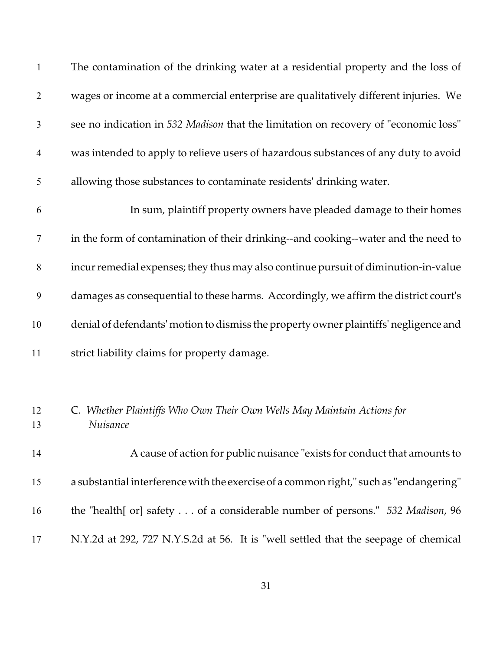| $\mathbf{1}$   | The contamination of the drinking water at a residential property and the loss of      |
|----------------|----------------------------------------------------------------------------------------|
| $\overline{2}$ | wages or income at a commercial enterprise are qualitatively different injuries. We    |
| $\mathfrak{Z}$ | see no indication in 532 Madison that the limitation on recovery of "economic loss"    |
| $\overline{4}$ | was intended to apply to relieve users of hazardous substances of any duty to avoid    |
| 5              | allowing those substances to contaminate residents' drinking water.                    |
| 6              | In sum, plaintiff property owners have pleaded damage to their homes                   |
| $\overline{7}$ | in the form of contamination of their drinking--and cooking--water and the need to     |
| 8              | incur remedial expenses; they thus may also continue pursuit of diminution-in-value    |
| 9              | damages as consequential to these harms. Accordingly, we affirm the district court's   |
| 10             | denial of defendants' motion to dismiss the property owner plaintiffs' negligence and  |
| 11             | strict liability claims for property damage.                                           |
|                |                                                                                        |
| 12<br>13       | C. Whether Plaintiffs Who Own Their Own Wells May Maintain Actions for<br>Nuisance     |
| 14             | A cause of action for public nuisance "exists for conduct that amounts to              |
| 15             | a substantial interference with the exercise of a common right," such as "endangering" |
| 16             | the "health[ or] safety of a considerable number of persons." 532 Madison, 96          |
| 17             | N.Y.2d at 292, 727 N.Y.S.2d at 56. It is "well settled that the seepage of chemical    |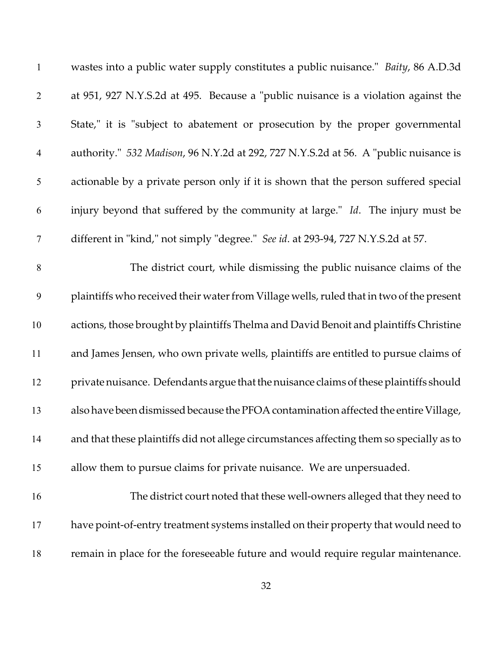| $\mathbf{1}$     | wastes into a public water supply constitutes a public nuisance." Baity, 86 A.D.3d       |
|------------------|------------------------------------------------------------------------------------------|
| $\overline{2}$   | at 951, 927 N.Y.S.2d at 495. Because a "public nuisance is a violation against the       |
| 3                | State," it is "subject to abatement or prosecution by the proper governmental            |
| $\overline{4}$   | authority." 532 Madison, 96 N.Y.2d at 292, 727 N.Y.S.2d at 56. A "public nuisance is     |
| 5                | actionable by a private person only if it is shown that the person suffered special      |
| 6                | injury beyond that suffered by the community at large." Id. The injury must be           |
| $\boldsymbol{7}$ | different in "kind," not simply "degree." See id. at 293-94, 727 N.Y.S.2d at 57.         |
| 8                | The district court, while dismissing the public nuisance claims of the                   |
| 9                | plaintiffs who received their water from Village wells, ruled that in two of the present |
| 10               | actions, those brought by plaintiffs Thelma and David Benoit and plaintiffs Christine    |
| 11               | and James Jensen, who own private wells, plaintiffs are entitled to pursue claims of     |
| 12               | private nuisance. Defendants argue that the nuisance claims of these plaintiffs should   |
| 13               | also have been dismissed because the PFOA contamination affected the entire Village,     |
| 14               | and that these plaintiffs did not allege circumstances affecting them so specially as to |
| 15               | allow them to pursue claims for private nuisance. We are unpersuaded.                    |
| 16               | The district court noted that these well-owners alleged that they need to                |
| 17               | have point-of-entry treatment systems installed on their property that would need to     |
| 18               | remain in place for the foreseeable future and would require regular maintenance.        |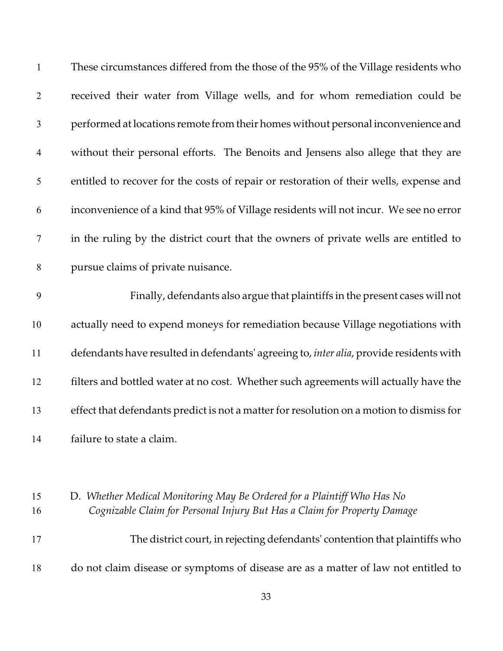| $\mathbf{1}$   | These circumstances differed from the those of the 95% of the Village residents who                                                                 |
|----------------|-----------------------------------------------------------------------------------------------------------------------------------------------------|
| $\overline{2}$ | received their water from Village wells, and for whom remediation could be                                                                          |
| $\mathfrak{Z}$ | performed at locations remote from their homes without personal inconvenience and                                                                   |
| $\overline{4}$ | without their personal efforts. The Benoits and Jensens also allege that they are                                                                   |
| 5              | entitled to recover for the costs of repair or restoration of their wells, expense and                                                              |
| 6              | inconvenience of a kind that 95% of Village residents will not incur. We see no error                                                               |
| 7              | in the ruling by the district court that the owners of private wells are entitled to                                                                |
| $8\,$          | pursue claims of private nuisance.                                                                                                                  |
| 9              | Finally, defendants also argue that plaintiffs in the present cases will not                                                                        |
| 10             | actually need to expend moneys for remediation because Village negotiations with                                                                    |
| 11             | defendants have resulted in defendants' agreeing to, inter alia, provide residents with                                                             |
| 12             | filters and bottled water at no cost. Whether such agreements will actually have the                                                                |
| 13             | effect that defendants predict is not a matter for resolution on a motion to dismiss for                                                            |
| 14             | failure to state a claim.                                                                                                                           |
|                |                                                                                                                                                     |
| 15<br>16       | D. Whether Medical Monitoring May Be Ordered for a Plaintiff Who Has No<br>Cognizable Claim for Personal Injury But Has a Claim for Property Damage |
| 17             | The district court, in rejecting defendants' contention that plaintiffs who                                                                         |
| 18             | do not claim disease or symptoms of disease are as a matter of law not entitled to                                                                  |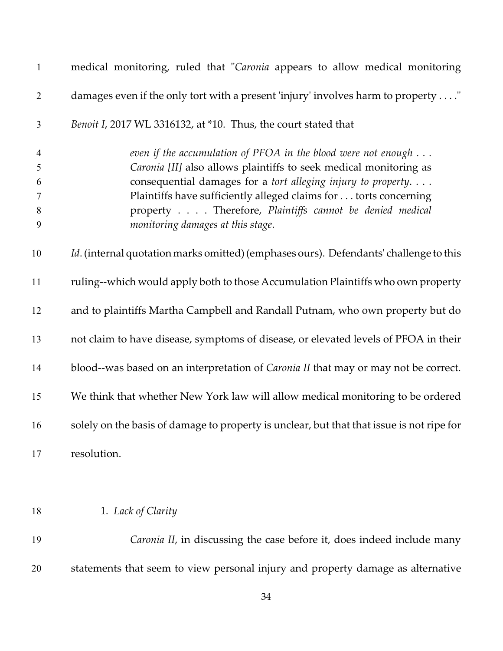| $\mathbf{1}$                                              | medical monitoring, ruled that "Caronia appears to allow medical monitoring                                                                                                                                                                                                                                                                                                     |
|-----------------------------------------------------------|---------------------------------------------------------------------------------------------------------------------------------------------------------------------------------------------------------------------------------------------------------------------------------------------------------------------------------------------------------------------------------|
| $\overline{2}$                                            | damages even if the only tort with a present 'injury' involves harm to property "                                                                                                                                                                                                                                                                                               |
| 3                                                         | Benoit I, 2017 WL 3316132, at *10. Thus, the court stated that                                                                                                                                                                                                                                                                                                                  |
| $\overline{4}$<br>5<br>6<br>$\tau$<br>$8\phantom{1}$<br>9 | even if the accumulation of PFOA in the blood were not enough $\dots$<br>Caronia [II] also allows plaintiffs to seek medical monitoring as<br>consequential damages for a tort alleging injury to property.<br>Plaintiffs have sufficiently alleged claims for torts concerning<br>property Therefore, Plaintiffs cannot be denied medical<br>monitoring damages at this stage. |
| 10                                                        | Id. (internal quotation marks omitted) (emphases ours). Defendants' challenge to this                                                                                                                                                                                                                                                                                           |
| 11                                                        | ruling--which would apply both to those Accumulation Plaintiffs who own property                                                                                                                                                                                                                                                                                                |
| 12                                                        | and to plaintiffs Martha Campbell and Randall Putnam, who own property but do                                                                                                                                                                                                                                                                                                   |
| 13                                                        | not claim to have disease, symptoms of disease, or elevated levels of PFOA in their                                                                                                                                                                                                                                                                                             |
| 14                                                        | blood--was based on an interpretation of <i>Caronia II</i> that may or may not be correct.                                                                                                                                                                                                                                                                                      |
| 15                                                        | We think that whether New York law will allow medical monitoring to be ordered                                                                                                                                                                                                                                                                                                  |
| 16                                                        | solely on the basis of damage to property is unclear, but that that issue is not ripe for                                                                                                                                                                                                                                                                                       |
| 17                                                        | resolution.                                                                                                                                                                                                                                                                                                                                                                     |
|                                                           |                                                                                                                                                                                                                                                                                                                                                                                 |
| 18                                                        | 1. Lack of Clarity                                                                                                                                                                                                                                                                                                                                                              |
| 19                                                        | Caronia II, in discussing the case before it, does indeed include many                                                                                                                                                                                                                                                                                                          |
| 20                                                        | statements that seem to view personal injury and property damage as alternative                                                                                                                                                                                                                                                                                                 |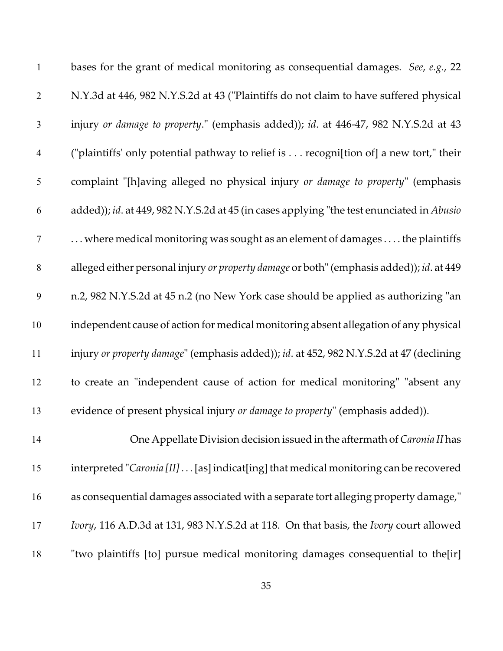| $\mathbf{1}$   | bases for the grant of medical monitoring as consequential damages. See, e.g., 22         |
|----------------|-------------------------------------------------------------------------------------------|
| $\overline{2}$ | N.Y.3d at 446, 982 N.Y.S.2d at 43 ("Plaintiffs do not claim to have suffered physical     |
| $\mathfrak{Z}$ | injury or damage to property." (emphasis added)); id. at 446-47, 982 N.Y.S.2d at 43       |
| $\overline{4}$ | ("plaintiffs' only potential pathway to relief is recogni[tion of] a new tort," their     |
| 5              | complaint "[h]aving alleged no physical injury or damage to property" (emphasis           |
| 6              | added)); id. at 449, 982 N.Y.S.2d at 45 (in cases applying "the test enunciated in Abusio |
| $\tau$         | where medical monitoring was sought as an element of damages  . the plaintiffs            |
| $\,8\,$        | alleged either personal injury or property damage or both" (emphasis added)); id. at 449  |
| 9              | n.2, 982 N.Y.S.2d at 45 n.2 (no New York case should be applied as authorizing "an        |
| 10             | independent cause of action for medical monitoring absent allegation of any physical      |
| 11             | injury or property damage" (emphasis added)); id. at 452, 982 N.Y.S.2d at 47 (declining   |
| 12             | to create an "independent cause of action for medical monitoring" "absent any             |
| 13             | evidence of present physical injury or damage to property" (emphasis added)).             |
| 14             | One Appellate Division decision issued in the aftermath of Caronia II has                 |
| 15             | interpreted "Caronia [II] [as] indicat[ing] that medical monitoring can be recovered      |
| 16             | as consequential damages associated with a separate tort alleging property damage,"       |
| 17             | Ivory, 116 A.D.3d at 131, 983 N.Y.S.2d at 118. On that basis, the Ivory court allowed     |
| 18             | "two plaintiffs [to] pursue medical monitoring damages consequential to the[ir]           |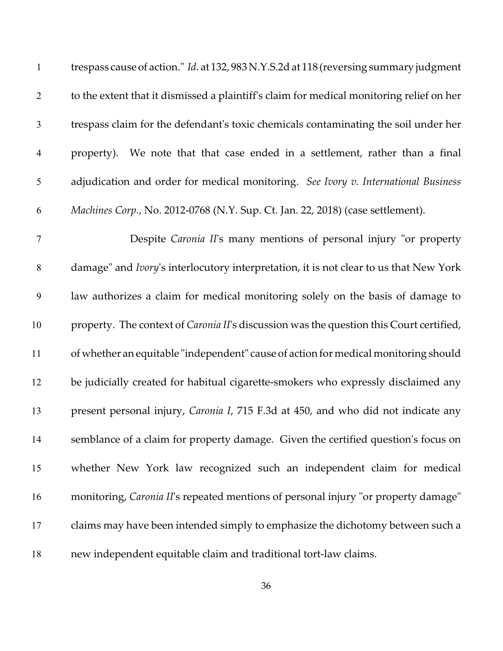| $\mathbf{1}$     | trespass cause of action." Id. at 132, 983 N.Y.S.2d at 118 (reversing summary judgment   |
|------------------|------------------------------------------------------------------------------------------|
| $\overline{2}$   | to the extent that it dismissed a plaintiff's claim for medical monitoring relief on her |
| $\mathfrak{Z}$   | trespass claim for the defendant's toxic chemicals contaminating the soil under her      |
| $\overline{4}$   | property). We note that that case ended in a settlement, rather than a final             |
| 5                | adjudication and order for medical monitoring. See Ivory v. International Business       |
| 6                | Machines Corp., No. 2012-0768 (N.Y. Sup. Ct. Jan. 22, 2018) (case settlement).           |
| $\boldsymbol{7}$ | Despite Caronia II's many mentions of personal injury "or property                       |
| $\,8\,$          | damage" and Ivory's interlocutory interpretation, it is not clear to us that New York    |
| 9                | law authorizes a claim for medical monitoring solely on the basis of damage to           |
| 10               | property. The context of Caronia II's discussion was the question this Court certified,  |
| 11               | of whether an equitable "independent" cause of action for medical monitoring should      |
| 12               | be judicially created for habitual cigarette-smokers who expressly disclaimed any        |
| 13               | present personal injury, Caronia I, 715 F.3d at 450, and who did not indicate any        |
| 14               | semblance of a claim for property damage. Given the certified question's focus on        |
| 15               | whether New York law recognized such an independent claim for medical                    |
| 16               | monitoring, Caronia II's repeated mentions of personal injury "or property damage"       |
| 17               | claims may have been intended simply to emphasize the dichotomy between such a           |
| 18               | new independent equitable claim and traditional tort-law claims.                         |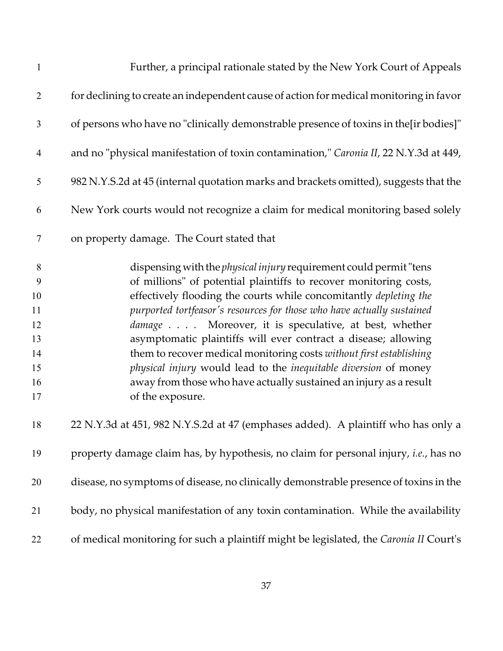| $\mathbf{1}$                                                        | Further, a principal rationale stated by the New York Court of Appeals                                                                                                                                                                                                                                                                                                                                                                                                                                                                                                                                                                                      |
|---------------------------------------------------------------------|-------------------------------------------------------------------------------------------------------------------------------------------------------------------------------------------------------------------------------------------------------------------------------------------------------------------------------------------------------------------------------------------------------------------------------------------------------------------------------------------------------------------------------------------------------------------------------------------------------------------------------------------------------------|
| $\overline{2}$                                                      | for declining to create an independent cause of action for medical monitoring in favor                                                                                                                                                                                                                                                                                                                                                                                                                                                                                                                                                                      |
| 3                                                                   | of persons who have no "clinically demonstrable presence of toxins in the[ir bodies]"                                                                                                                                                                                                                                                                                                                                                                                                                                                                                                                                                                       |
| $\overline{4}$                                                      | and no "physical manifestation of toxin contamination," Caronia II, 22 N.Y.3d at 449,                                                                                                                                                                                                                                                                                                                                                                                                                                                                                                                                                                       |
| $\mathfrak s$                                                       | 982 N.Y.S.2d at 45 (internal quotation marks and brackets omitted), suggests that the                                                                                                                                                                                                                                                                                                                                                                                                                                                                                                                                                                       |
| 6                                                                   | New York courts would not recognize a claim for medical monitoring based solely                                                                                                                                                                                                                                                                                                                                                                                                                                                                                                                                                                             |
| 7                                                                   | on property damage. The Court stated that                                                                                                                                                                                                                                                                                                                                                                                                                                                                                                                                                                                                                   |
| $8\phantom{1}$<br>9<br>10<br>11<br>12<br>13<br>14<br>15<br>16<br>17 | dispensing with the <i>physical injury</i> requirement could permit "tens<br>of millions" of potential plaintiffs to recover monitoring costs,<br>effectively flooding the courts while concomitantly depleting the<br>purported tortfeasor's resources for those who have actually sustained<br>damage Moreover, it is speculative, at best, whether<br>asymptomatic plaintiffs will ever contract a disease; allowing<br>them to recover medical monitoring costs without first establishing<br>physical injury would lead to the inequitable diversion of money<br>away from those who have actually sustained an injury as a result<br>of the exposure. |
| 18                                                                  | 22 N.Y.3d at 451, 982 N.Y.S.2d at 47 (emphases added). A plaintiff who has only a                                                                                                                                                                                                                                                                                                                                                                                                                                                                                                                                                                           |
| 19                                                                  | property damage claim has, by hypothesis, no claim for personal injury, i.e., has no                                                                                                                                                                                                                                                                                                                                                                                                                                                                                                                                                                        |
| 20                                                                  | disease, no symptoms of disease, no clinically demonstrable presence of toxins in the                                                                                                                                                                                                                                                                                                                                                                                                                                                                                                                                                                       |
| 21                                                                  | body, no physical manifestation of any toxin contamination. While the availability                                                                                                                                                                                                                                                                                                                                                                                                                                                                                                                                                                          |
| 22                                                                  | of medical monitoring for such a plaintiff might be legislated, the Caronia II Court's                                                                                                                                                                                                                                                                                                                                                                                                                                                                                                                                                                      |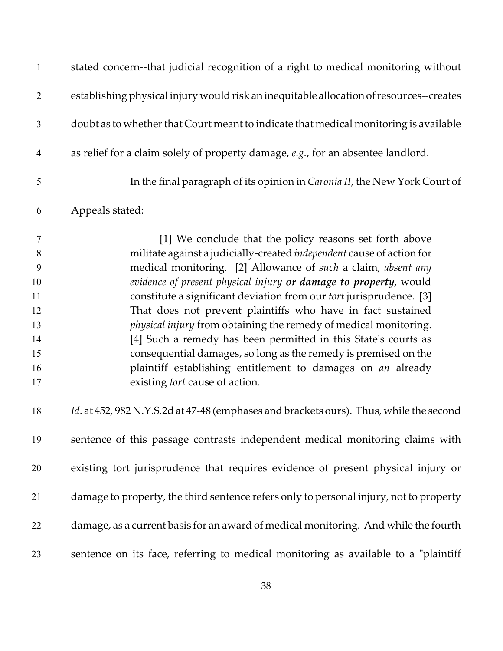| $\mathbf{1}$                                                | stated concern--that judicial recognition of a right to medical monitoring without                                                                                                                                                                                                                                                                                                                                                                                                                                                                                                                                                                                                                                           |
|-------------------------------------------------------------|------------------------------------------------------------------------------------------------------------------------------------------------------------------------------------------------------------------------------------------------------------------------------------------------------------------------------------------------------------------------------------------------------------------------------------------------------------------------------------------------------------------------------------------------------------------------------------------------------------------------------------------------------------------------------------------------------------------------------|
| $\overline{2}$                                              | establishing physical injury would risk an inequitable allocation of resources--creates                                                                                                                                                                                                                                                                                                                                                                                                                                                                                                                                                                                                                                      |
| 3                                                           | doubt as to whether that Court meant to indicate that medical monitoring is available                                                                                                                                                                                                                                                                                                                                                                                                                                                                                                                                                                                                                                        |
| $\overline{4}$                                              | as relief for a claim solely of property damage, e.g., for an absentee landlord.                                                                                                                                                                                                                                                                                                                                                                                                                                                                                                                                                                                                                                             |
| 5                                                           | In the final paragraph of its opinion in <i>Caronia II</i> , the New York Court of                                                                                                                                                                                                                                                                                                                                                                                                                                                                                                                                                                                                                                           |
| 6                                                           | Appeals stated:                                                                                                                                                                                                                                                                                                                                                                                                                                                                                                                                                                                                                                                                                                              |
| 7<br>8<br>9<br>10<br>11<br>12<br>13<br>14<br>15<br>16<br>17 | [1] We conclude that the policy reasons set forth above<br>militate against a judicially-created independent cause of action for<br>medical monitoring. [2] Allowance of such a claim, absent any<br>evidence of present physical injury or damage to property, would<br>constitute a significant deviation from our tort jurisprudence. [3]<br>That does not prevent plaintiffs who have in fact sustained<br>physical injury from obtaining the remedy of medical monitoring.<br>[4] Such a remedy has been permitted in this State's courts as<br>consequential damages, so long as the remedy is premised on the<br>plaintiff establishing entitlement to damages on an already<br>existing <i>tort</i> cause of action. |
| 18                                                          | Id. at 452, 982 N.Y.S.2d at 47-48 (emphases and brackets ours). Thus, while the second                                                                                                                                                                                                                                                                                                                                                                                                                                                                                                                                                                                                                                       |
| 19                                                          | sentence of this passage contrasts independent medical monitoring claims with                                                                                                                                                                                                                                                                                                                                                                                                                                                                                                                                                                                                                                                |
| 20                                                          | existing tort jurisprudence that requires evidence of present physical injury or                                                                                                                                                                                                                                                                                                                                                                                                                                                                                                                                                                                                                                             |
| 21                                                          | damage to property, the third sentence refers only to personal injury, not to property                                                                                                                                                                                                                                                                                                                                                                                                                                                                                                                                                                                                                                       |
| 22                                                          | damage, as a current basis for an award of medical monitoring. And while the fourth                                                                                                                                                                                                                                                                                                                                                                                                                                                                                                                                                                                                                                          |
| 23                                                          | sentence on its face, referring to medical monitoring as available to a "plaintiff                                                                                                                                                                                                                                                                                                                                                                                                                                                                                                                                                                                                                                           |
|                                                             |                                                                                                                                                                                                                                                                                                                                                                                                                                                                                                                                                                                                                                                                                                                              |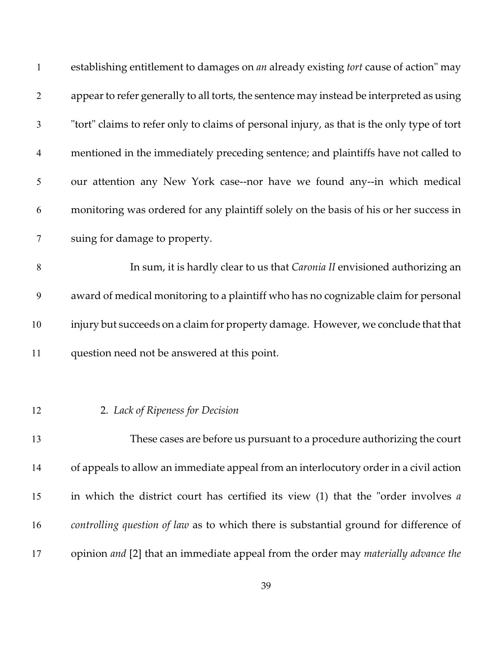| $\mathbf{1}$   | establishing entitlement to damages on an already existing tort cause of action" may       |
|----------------|--------------------------------------------------------------------------------------------|
| $\overline{2}$ | appear to refer generally to all torts, the sentence may instead be interpreted as using   |
| $\mathfrak{Z}$ | "tort" claims to refer only to claims of personal injury, as that is the only type of tort |
| $\overline{4}$ | mentioned in the immediately preceding sentence; and plaintiffs have not called to         |
| 5              | our attention any New York case--nor have we found any--in which medical                   |
| 6              | monitoring was ordered for any plaintiff solely on the basis of his or her success in      |
| 7              | suing for damage to property.                                                              |
| 8              | In sum, it is hardly clear to us that Caronia II envisioned authorizing an                 |
| 9              | award of medical monitoring to a plaintiff who has no cognizable claim for personal        |
| 10             | injury but succeeds on a claim for property damage. However, we conclude that that         |
| 11             | question need not be answered at this point.                                               |
|                |                                                                                            |
| 12             | 2. Lack of Ripeness for Decision                                                           |
| 13             | These cases are before us pursuant to a procedure authorizing the court                    |
| 14             | of appeals to allow an immediate appeal from an interlocutory order in a civil action      |
| 15             | in which the district court has certified its view $(1)$ that the "order involves a        |
| 16             | controlling question of law as to which there is substantial ground for difference of      |
| 17             | opinion and [2] that an immediate appeal from the order may materially advance the         |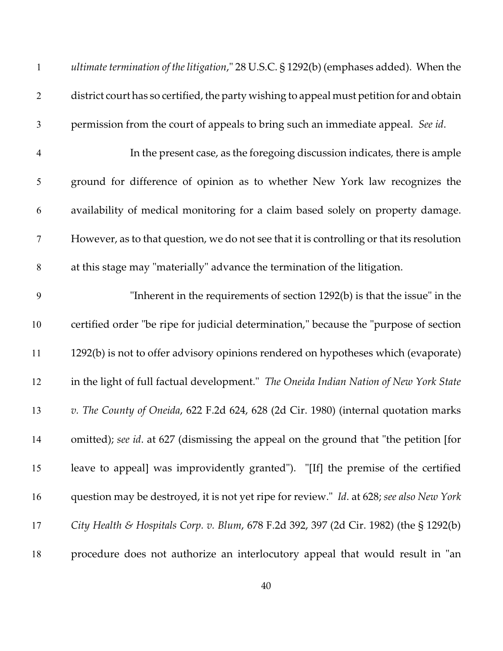| $\mathbf{1}$   | ultimate termination of the litigation," 28 U.S.C. § 1292(b) (emphases added). When the   |
|----------------|-------------------------------------------------------------------------------------------|
| $\overline{2}$ | district court has so certified, the party wishing to appeal must petition for and obtain |
| $\mathfrak{Z}$ | permission from the court of appeals to bring such an immediate appeal. See id.           |
| $\overline{4}$ | In the present case, as the foregoing discussion indicates, there is ample                |
| 5              | ground for difference of opinion as to whether New York law recognizes the                |
| 6              | availability of medical monitoring for a claim based solely on property damage.           |
| 7              | However, as to that question, we do not see that it is controlling or that its resolution |
| $8\,$          | at this stage may "materially" advance the termination of the litigation.                 |
| 9              | "Inherent in the requirements of section 1292(b) is that the issue" in the                |
| 10             | certified order "be ripe for judicial determination," because the "purpose of section     |
| 11             | 1292(b) is not to offer advisory opinions rendered on hypotheses which (evaporate)        |
| 12             | in the light of full factual development." The Oneida Indian Nation of New York State     |
| 13             | v. The County of Oneida, 622 F.2d 624, 628 (2d Cir. 1980) (internal quotation marks       |
| 14             | omitted); see id. at 627 (dismissing the appeal on the ground that "the petition [for     |
| 15             | leave to appeal] was improvidently granted"). "[If] the premise of the certified          |
| 16             | question may be destroyed, it is not yet ripe for review." Id. at 628; see also New York  |
| 17             | City Health & Hospitals Corp. v. Blum, 678 F.2d 392, 397 (2d Cir. 1982) (the § 1292(b)    |
| 18             | procedure does not authorize an interlocutory appeal that would result in "an             |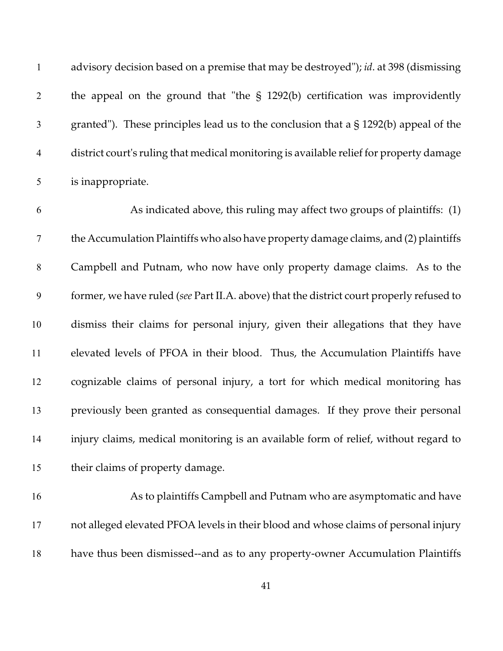|                | advisory decision based on a premise that may be destroyed"); <i>id.</i> at 398 (dismissing |
|----------------|---------------------------------------------------------------------------------------------|
| 2              | the appeal on the ground that "the $\S$ 1292(b) certification was improvidently             |
| 3              | granted"). These principles lead us to the conclusion that a $\S$ 1292(b) appeal of the     |
| $\overline{4}$ | district court's ruling that medical monitoring is available relief for property damage     |
| 5              | is inappropriate.                                                                           |

 As indicated above, this ruling may affect two groups of plaintiffs: (1) the Accumulation Plaintiffs who also have property damage claims, and (2) plaintiffs Campbell and Putnam, who now have only property damage claims. As to the former, we have ruled (*see* Part II.A. above) that the district court properly refused to dismiss their claims for personal injury, given their allegations that they have elevated levels of PFOA in their blood. Thus, the Accumulation Plaintiffs have cognizable claims of personal injury, a tort for which medical monitoring has previously been granted as consequential damages. If they prove their personal injury claims, medical monitoring is an available form of relief, without regard to their claims of property damage.

 As to plaintiffs Campbell and Putnam who are asymptomatic and have not alleged elevated PFOA levels in their blood and whose claims of personal injury have thus been dismissed--and as to any property-owner Accumulation Plaintiffs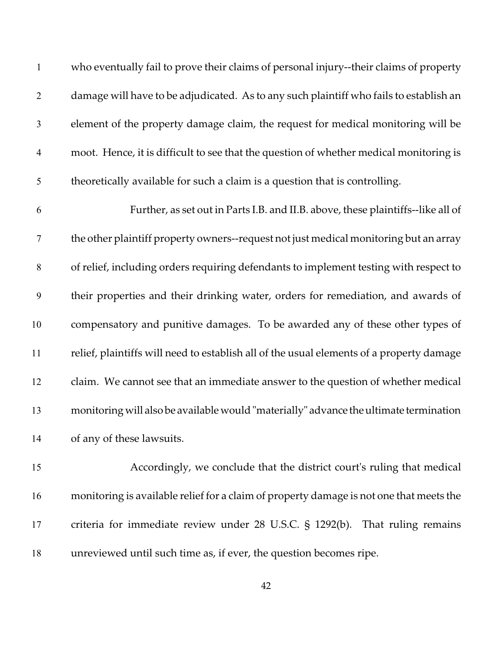| $\mathbf{1}$   | who eventually fail to prove their claims of personal injury--their claims of property   |
|----------------|------------------------------------------------------------------------------------------|
| $\overline{2}$ | damage will have to be adjudicated. As to any such plaintiff who fails to establish an   |
| $\mathfrak{Z}$ | element of the property damage claim, the request for medical monitoring will be         |
| $\overline{4}$ | moot. Hence, it is difficult to see that the question of whether medical monitoring is   |
| 5              | theoretically available for such a claim is a question that is controlling.              |
| 6              | Further, as set out in Parts I.B. and II.B. above, these plaintiffs--like all of         |
| 7              | the other plaintiff property owners--request not just medical monitoring but an array    |
| 8              | of relief, including orders requiring defendants to implement testing with respect to    |
| 9              | their properties and their drinking water, orders for remediation, and awards of         |
| 10             | compensatory and punitive damages. To be awarded any of these other types of             |
| 11             | relief, plaintiffs will need to establish all of the usual elements of a property damage |
| 12             | claim. We cannot see that an immediate answer to the question of whether medical         |
| 13             | monitoring will also be available would "materially" advance the ultimate termination    |
| 14             | of any of these lawsuits.                                                                |
| 15             | Accordingly, we conclude that the district court's ruling that medical                   |
| 16             | monitoring is available relief for a claim of property damage is not one that meets the  |

 criteria for immediate review under 28 U.S.C. § 1292(b). That ruling remains unreviewed until such time as, if ever, the question becomes ripe.